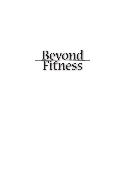# Beyond Fitness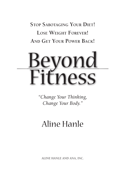**STOP SABOTAGING YOUR DIET! LOSE WEIGHT FOREVER! AND GET YOUR POWER BACK!**

# nd  $2SS$

*"Change Your Thinking, Change Your Body."*

### Aline Hanle

AliNe HANle ANd ANA, iNC.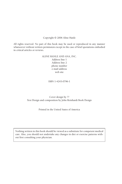#### Copyright © 2006 Aline Hanle

All rights reserved. No part of this book may be used or reproduced in any manner whatsoever without written permission except in the case of brief quotations embodied in critical articles or reviews.

#### aline hanle and ana, inc. Address line 1 Address line 2 phone number e-mail address web site

#### ISBN 1-4243-0796-1

#### Cover design by ?? Text Design and composition by John Reinhardt Book Design

#### Printed in the United States of America

Nothing written in this book should be viewed as a substitute for competent medical care. Also, you should not undertake any changes in diet or exercise patterns without first consulting your physician.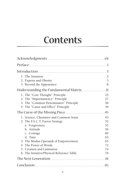# Contents

| 1. The Situation<br>2. Experts and Obesity<br>3. Beyond the Appearance                                                                                                                                                                                                          | 3<br>5<br>8                                              |
|---------------------------------------------------------------------------------------------------------------------------------------------------------------------------------------------------------------------------------------------------------------------------------|----------------------------------------------------------|
| Understanding the Fundamental Matrix                                                                                                                                                                                                                                            | 21                                                       |
| 1. The "Core Thought" Principle<br>2. The "Impermanency" Principle<br>3. The "Common Denominator" Principle<br>4. The "Cause and Effect" Principle                                                                                                                              | 23<br>27<br>36<br>39                                     |
|                                                                                                                                                                                                                                                                                 |                                                          |
| 1. Science, Chemistry and Common Sense<br>2. The F.A.C.T. Factor Strategy<br>a. Forgiveness<br>b. Attitude<br>c. Courage<br>d. Time<br>3. The Modus Operandi of Empowerment<br>4. The Power of Words<br>5. Creation and Limitation<br>6. The Intuitive/Physical Reference Table | 45<br>52<br>52<br>56<br>60<br>63<br>65<br>72<br>74<br>76 |
|                                                                                                                                                                                                                                                                                 | 81                                                       |
|                                                                                                                                                                                                                                                                                 |                                                          |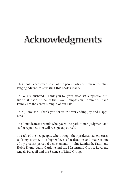# Acknowledgments

This book is dedicated to all of the people who help make the challenging adventure of writing this book a reality.

To Bo, my husband. Thank you for your steadfast supportive attitude that made me realize that love, Compassion, Commitment and Family are the center strength of our Life.

To A.J., my son. Thank you for your never-ending Joy and Happiness.

To all my dearest Friends who paved the path to non-judgment and self-acceptance, you will recognize yourself.

To each of the key people, who through their professional expertise, took my journey to a higher level of realization and made it one of my greatest personal achievements -- John Reinhardt, Kathi and Hobie Dunn, Laura Cardone and the Mastermind Group, Reverend Angela Peregoff and the Science of Mind Group.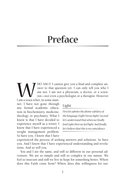### Preface

WHO AM I? I cannot give you a final and complete answer to that question yet. I can only tell you who I am not. I am not a physician, a doctor, or a scientist—not even a psychologist or a therapist. However swer to that question yet. I can only tell you who I am not. I am not a physician, a doctor, or a scientist—not even a psychologist or a therapist. However

I am a resea rcher, in some manner. i have not gone through any formal academic education in biochemistry, medicine, theology or psychiatry. What I know is that i have decided to experience myself as a writer. i know that i have experienced a weight management problem. So have you. I know that I have

#### Light

*First let admire the divine subtlety of the language (Light Versus light). Second let's understand that when we fi nally fi nd Light then we feel light. And fi nally, let's believe that this is no coincidence . . .* 

experienced the process of seeking answers and solutions. So have you. And I know that I have experienced understanding and revelations. And so *will* you.

You and I are the same, and still so different in our personal adventure. We are so simple and still so complex in our nature. We feel so insecure and still we live in hope for something better. Where does this Faith come from? Where does this willingness for sur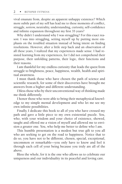vival emanate from, despite an apparent unhappy existence? Which more subtle part of my self has lead me to these moments of conflict, struggle, sorrow, neutrality, understanding, curiosity, self-confidence and infinite expansion throughout my first 35 years?

Why didn't I understand why I was struggling? For this exact reason: I was into struggling, setting myself up by putting more emphasis on the troubled situation instead of being intent on finding resolutions. However, after a little step back and an observation of all these years, I realized that my experiences made sense. I had resisted learning from my experiences, for I did not comprehend their purpose, their unfolding patterns, their logic, their functions and their reasons.

I am thankful for my endless curiosity that leads the quest from struggle to brightness, peace, happiness, wealth, health and spiritual awareness.

I must thank those who have chosen the path of science and scientific research, for some of their discoveries have brought me answers from a higher and different understanding.

I bless those who by their unconventional way of thinking made me think differently.

I honor those who were able to bring their metaphysical knowledge to my simple mental development and who let me see my own infinite possibilities.

Finally, I dedicate this book to all of you who have crossed my path and gave a little piece to my own existential puzzle. You, who, with your wisdom and your choice of existence, showed, taught and offered me a vision of myself and allowed me to envision a greater one. You, who help me better to define who I am.

This humble presentation is a modest but true gift to you all who are seeking to get on the road to happiness. Notice that to do so, you have not to be different, chosen, special, exceptional, uncommon or remarkable—you only have to know and feel it through each cell of your being because you truly are all of the above.

Bless the whole, for it is the one who allows us to celebrate our uniqueness and our individuality in its peaceful and loving care.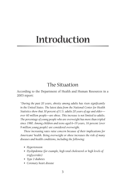## Introduction

#### The Situation

According to the Department of Health and Human Resources in a 2003 report:

"During the past 20 years, obesity among adults has risen significantly in the United States. The latest data from the National Center for Health *Statistics show that 30 percent of U.S. adults 20 years of age and older over* 60 million people—are obese. This increase is not limited to adults. The percentage of young people who are overweight has more than tripled since 1980. Among children and teens aged 6–19 years, 16 percent (over *9 million young people) are considered overweight.*

These increasing rates raise concern because of their implications for *Americans' health. Being overweight or obese increases the risk of many*  diseases and health conditions, including the following:

- *• Hypertension*
- Dyslipidemia (for example, high total cholesterol or high levels of *triglycerides)*
- *• Type 2 diabetes*
- *• Coronary heart disease*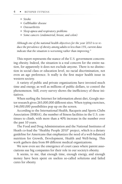- *• Stroke*
- *• Gallbladder disease*
- *• Osteoarthritis*
- *• Sleep apnea and respiratory problems*
- *• Some cancers (endometrial, breast, and colon)*

*Although one of the national health objectives for the year 2010 is to reduce the prevalence of obesity among adults to less than 15%, current data indicate that the situation is worsening rather than improving."*

This report represents the stance of the U.S. government concerning obesity. Indeed, the situation is a real concern for the entire nation, for apparently it does not exclude anyone. There is no distinction in social class or education level, no racial discrimination, not even an age preference. It really is the first major health issue in western society.

A variety of public and private organizations have invested much time and energy, as well as millions of public dollars, to control the phenomenon. Still, every survey shows the inefficiency of these initiatives.

When surfing the Internet for information about diet, Google motor research gives 265,000,000 different sites. When typing exercises, 146,000,000 possibilities pop up on the screen.

According to the International Health, Racquets and Sports Clubs Association (IHRSA), the number of fitness facilities in the U.S. continues to climb, with more than a 40% increase in the number over the past 10 years.

The Food and Drug Administration and the National Institutes of Heath co-lead the "Healthy People 2010" project, which is a dietary guideline for Americans that emphasizes the need of a well-balanced nutrition for Growth, Development, Health and Well-being. This work gathers data from 89 different medical organizations.

We now even see the emergence of court cases where parent associations sue big companies for their role in our society's obesity.

It seems, to me, that enough time, enough energy, and enough money have been spent on useless so-called solutions and failed cures for obesity.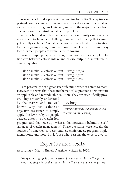Researchers found a preventative vaccine for polio. Therapists explained complex mental illnesses. Scientists discovered the smallest element constituting our Universe, and still, the major death-related disease is out of control. What is the problem?

What is beyond our brilliant scientific community's understanding and control? Which challenges are we really facing that cannot yet be fully explained? What is the motivation behind the motivation to justify gaining weight and keeping it on? The obvious and easy fact of which people are aware is the following:

From a simple perspective, weight management is a simple relationship between calorie intake and calorie output. A simple mathematic equation:

Calorie intake = calorie output - weight equal Calorie intake > calorie output - weight gain Calorie intake < calorie output - weight loss.

I am personally not a great scientific mind when it comes to math. However, it seems that these mathematical expressions demonstrate an applicable and reproducible solution. They are scientifically prov-

en. They are easily understood by the masses and are well known. Why, then, is there an objective resistance to simply apply the law? Why do people actively enter into a weight-loss

#### Teaching

*It is understanding that as long as you teac, you are still learning.*

program and then give up? What is the motivation behind the selfsabotage of weight management? These questions were actually the source of numerous surveys, studies, conferences, program implementations, and more. So, let's see what reasons the experts give ...

#### Experts and obesity

According a "Health Envelop" article, written in 2005:

*"Many experts grapple over the issue of what causes obesity. The fact is, there is no single factor that causes obesity. There are a number of factors*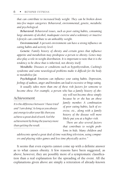*that can contribute to increased body weight. They can be broken down into five major categories: Behavioral, environmental, genetic, metabolic and psychological.*

*Behavioral: Behavioral issues, such as poor eating habits, consuming large amounts of alcohol, inadequate exercise and a sedentary or inactive Lifestyle can contribute to an unhealthy weight.*

*Environmental: A person's environment can have a strong influence on eating habits and activity level.*

*Genetic: Family history of obesity and certain genes that influence appetite and metabolism may predispose a person to obesity. Genes may also play a role in weight distribution. It is important to note that it is the tendency to be obese that is inherited, not obesity itself.*

*Metabolic: Diseases or conditions such as hypothyroidism, Cushing's syndrome and some neurological problems make it difficult for the body to metabolize fat.*

*Psychological: Emotions can influence your eating habits. Depression, feelings of sadness, anger and boredom can lead to excessive or binge eating.*

*It usually takes more than one of these risk factors for someone to become obese. For example, a person who has a family history of obe-*

#### Achievement

*It is the difference between " I have tried" and " I am doing". As long as you always put energy to alter your life, then you achieve a great deal of work. Feel the achievement by living the journey more than getting the result.*

*sity will not become obese simply because he or she has an obese family member. A combination of poor eating habits, lack of exercise, etc., along with a family history of the disease will more likely put you at a higher risk.*

*There are also several factors that contribute to weight problems in kids. Many children and*

*adolescents spend a great deal of time watching television, using computers and playing video games and less time physically active."*

It seems that even experts cannot come up with a definite answer as to what causes obesity. A few reasons have been suggested, as above; however, they are possibly more of a symptomatic classification than a real explanation for the spreading of the event. All the explanations given above are simply a reiteration of already-known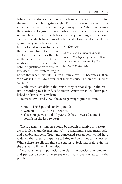behaviors and don't constitute a fundamental reason for justifying the need for people to gain weight. This justification is a need, like an addiction that people cannot get away from. When one knows the short- and long-term risks of obesity and one still makes a conscious choice to eat French fries and fatty hamburgers, one could call this specific behavior an addiction and a low-speed suicidal pro-

gram. Every suicidal candidate has profound reasons to feel as they do. Sometimes the reasons are known, sometimes they lie in the subconscious, but there is always a deep belief system behind a justification for voluntary death. Isn't it interesting to

#### Perfection

*When you understand than even imperfection is part of the perfection then you can let go and enjoy the perfection in everyone.*

notice that when "experts" fail in finding a cause, it becomes a "*there is no cause for it*"? Moreover, that lack of cause is then described as "a fact"!

While scientists debate the cause, they cannot dispute the realities. According to a four decade study: "American taller, fatter, published on live science website:

Between 1960 and 2002, the average weight jumped from:

- Men—166.3 pounds to 191 pounds
- Women—140.2 to 164.3 pounds
- The average weight of 10-year-olds has increased about 11 pounds in the last 40 years.

These alarming numbers should be enough incentive for researchers to look beyond the fact and truly work at finding real, meaningful and reliable answers. True and concerned researchers would have widened their areas of expertise to bring real solutions to the masses. Where there are effects, there are causes... Seek and seek again, for the answers will heal Humanity.

Let's consider a hypothesis to explain the obesity phenomenon, and perhaps discover an element we all have overlooked to fix the problem.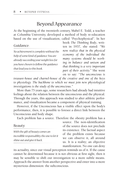#### Beyond Appearance

At the beginning of the twentieth century, Mabel E. Todd, a teacher at Columbia University, developed a method of body re-education based on the use of visualization, called "Psychophysical". In her

#### Guidance:

*No achievement is complete without the help of some kind of guidance. You are already succeeding your weight loss for you have chosen to follow the guidance that lead you to this book.* 

book *The Thinking Body*, written in 1937, she stated: *"We now realize that in the physical economy of the individual the many systems should be working in balance and unison and that thinking is a very important part of their activity."* She went on to say: *"The unconscious is*

*treasure-house and charnel-house of the creative and one of the keys to physiology. The backbone to which we must join new physiological investigations is the study of the unconscious*.*"*

More than 75 years ago, some researchers had already had intuitive feelings about the relation between the unconscious and the physical. Through the years, this approach was studied to alter athletic performance, and visualization became a component of physical training.

However, if the Unconscious has a visible effect upon the body's performance, then, it is possible to foresee a direct link between the Unconscious and body shape.

Each problem has a source. Therefore the obesity problem has a

#### Beauty

*With the gift of beauty comes an incredible responsablity, the one to let it shine out and give it back.*

source. The non-identification of the source does not preclude its existence. The factual aspect of the problem exists because we can observe it, all around us. It is a reality; an objective manifestation. No one can deny

its actuality, since our visual perception reminds us of it. If the cause cannot be determined because it is not obvious at first sight, then it may be sensible to shift our investigation to a more subtle means. Approach the answer from another perspective and enter into a more mysterious dimension: the subconscious.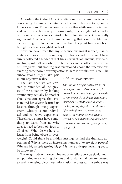According the Oxford American dictionary, subconscious is: of or concerning the part of the mind which is not fully conscious, but influences actions. Therefore, one can agree that while some individual and collective actions happen consciously, others might not be under our complete conscious control. The influential aspect is actually significant. One accepts the understanding that a more subliminal element might influence our actions, but this point has never been brought forth in a weight-loss book.

Nowhere have I read that my subconscious might induce, manipulate, drive or affect in some way my choices and decisions. I have surely collected a binder of diet tricks, weight-loss menus, low-calorie, high-protein/low-carbohydrate recipes and a collection of workout programs, but nothing was mentioned about the unconscious exerting some power over my actions! Here is our first real clue: The subconscious might take part in our objective reality.

The fact that we are constantly reminded of the gravity of the situation by looking around may actually be another clue. One can agree that Humankind has always learned its lessons through living experiences. Obesity is our individual and collective experience. Therefore, we must have something to learn from it. Why does it need to be so obvious to all of us? What do we have to learn from being obese or over-

#### Self-empowerment

*The human being intuitively knows his very nature and the source of his power. But because he forgot, he needs to remember through challenges and obstacles. A weight loss challenge is the beginning step of remembrance. After bringing back power, come beauty, joy, happiness, health and wealth. For each of these qualities are from the same essence. If you get one, you get all . . .*

weight? Could there be a hidden message behind the dramatic appearance? Why is there an increasing number of overweight people? Why are big people getting bigger? Is there a deeper meaning yet to be discovered?

The magnitude of the event invites us to reflect on a particular matter, pointing to something obvious and fundamental. We are pressed to seek a missing piece, lost information expressed in a subtle way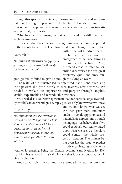through this specific experience; information so critical and substantial that this might represent the "Holy Grail" of modern times.

A scientific approach seems to be an objective one in our investigation. First, the questions:

What have we lost during the last century and how differently are we behaving now?

It is a fact that the concern for weight management only appeared in the twentieth century. Therefore what main change did we notice

#### Growth

*This is the realization that every gift you gave to yourself is nurturing the body, the heart and the soul.*

within the last hundred years?

The last century saw the emergence of science through the industrial revolution. Also, the need arose to refer to scientific discoveries for our great existential questions, since reli-

gion gradually failed to give us enough satisfying answers.

The realm of the invisible led by organized institutions, overusing their powers, did push people to turn towards new horizons. We needed to explain our experiences and purpose through tangible, visible, explainable and reproducible evidence.

We decided as a collective agreement that our personal objective reality would lead our paradigms. Simply put, we only know what we know

#### **Possibility**

*This is the beginning of every creation. Without the first thought and the first vision, no manifestation will follow. Create the possibility of physical empowerment, healthy lifestyle and body remodeling and keep this vision into focus. . .*

and we only know what we *see.* We then gave more and more credit to outside appearances and materialistic expressions through belongings. We believe that if we could establish our reality based upon what we see, we therefore could control the whole process of creation. The human being even felt the urge to predict in advance Nature's cycle with

weather forecasting. Being the Creator became a motivation, for Humankind has always intrinsically known that it was empowered by divine inspiration.

And so, our scientific community expanded the realm of our con-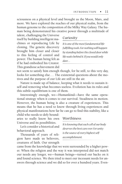sciousness on a physical level and brought us the Moon, Mars, and more. We have explored the reaches of our physical realm, from the human genome to the composition of the Milky Way Galaxy. The human being demonstrated his creative power through a multitude of

talent, challenging the Universe itself by building intelligent machines or reproducing Life by cloning. The genetic discovery brought him closer and closer to this feeling of control and power. The human being felt as if he had embodied his Creator. This grandiose achievement did

#### Curiosity

*It is one of the most fundamental lifefullfilling tools. For nothing will happen by standing before the closed door while life waits behind it. If you would only dare. . .*

not seem to satisfy him enough though, for he still, to this very day, looks for something else ... The existential questions about the motives and the purpose of our Life are still in the air.

Nature is made up of balance, keeping what it needs to sustain itself and removing what becomes useless. Evolution has its rules and this subtle equilibrium is one of them.

Interestingly enough, we—Humankind—have the same operational strategy when it comes to our survival. Steadiness in motion. However, the human being is also a creature of experiences. This means that he has a need to know through living experiences and physical manifestations how far he can go to find this stability, like a

child who needs to defy boundaries to really know his own Universe and its possibilities.

Let's consider a historical and behavioral approach.

Thousands of years of religion have made us believers, creatures of faith. Our strength

#### Worthiness

*It is knowing that each cell of our body deserves the best care ever. For unity is the source of every highest selfaccomplishment.*

came from the knowledge that we were surrounded by a higher power. When the religion and the way it was interpreted did not match our needs any longer, we—human beings—turned our backs on it and found science. We then tried to meet our incessant needs for answers through science and we did so for over a hundred years. Even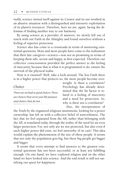tually, science turned itself against its Creator and its use resulted in an abusive situation with a distinguished and intensive exploitation of its planet's resources. Therefore, here we are, again, facing the dilemma of finding another way to our harmony.

By using science as a provider of answers, we slowly fell out of touch with our Faith in the Almighty and found ourselves without a feeling of superior protection.

Science also has come to a crossroads in terms of answering existential questions. More and more people have come to the realization that their late caregiver—science—was not as promising in terms of keeping them safe, secure and happy, as first expected. Therefore our collective consciousness provided the perfect answer to the feeling of insecurity, because that is what it is programmed to do: ensure the survival of the physical realm.

How is it ensured? Well, take a look around. The less Faith there is in a higher power that protects us, the more people become over-

#### Choice

*There are no bad or good choices. There are choices that serve your life purpose and choices that do not. . .*

weight. Is there a correlation? Psychology has already determined that the fat factor is related to a feeling of insecurity and a need for protection. So, why is there not a correlation?

Also, the interpretation of

the Truth by the organized religious institutions, looking for a power ownership, has left us with a collective belief of unworthiness. The fact that we feel separated from the All, rather than belonging with the All, is translated today through the reality of the need for an even larger protection. For, not only are we not protected, but also even if such higher power did exist, we feel unworthy of its care! This idea would explain the phenomenon of the size of obese people. It seems that not only the population gets big, but these big people get bigger and bigger.

It seems that every attempt to find answers to the greatest existential questions has not been successful, or at least not fulfilling enough. On one hand, we have explored religion and on the other hand we have looked into science. And the end result is still not satisfying our quest for happiness.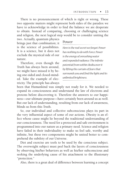There is no pronouncement of which is right or wrong. These two opposite matters might represent both sides of the paradox we have to acknowledge in order to find the balance we are desperate to obtain. Instead of comparing, choosing or challenging science and religion, the next logical step would be to consider uniting the

two. Actually, quantum physics brings just that combination; it is the science of possibilities. It is a science, but it does not exclude the mystical side of our nature.

Therefore, even though the Truth has always been around, we might have missed it by being one-sided and closed-minded. Take the example of electricity. The principle has always

#### Power

*Here is the real secret we forgot: Power has nothing to do with Force. Power is the energy of onrushing water and expanded radiance. The infinite potential from within. Rediscover it by lifting the curtain of fears that surrounds you and find the light and its unlimited brightness.* 

been that Humankind was simply not ready for it. We needed to expand its consciousness and understand the law of electrons and protons before discovering it. Therefore the answers to our happiness—our ultimate purpose—have certainly been around us as well. But our lack of understanding, resulting from our lack of awareness, blinds us from this Truth.

So, our individual and collective subconscious plays its part in the very influential aspect of some of our actions. Obesity is an effect whose cause might lie beyond the traditional understanding of our consciousness. The need for a protected and safe environment is programmed into our nature as a primary need. Science and religion have failed in their individuality to make us feel safe, worthy and infinite, but these two components might be united better to comprehend the subtlety of our Universe.

Diet and exercise are tools to be used by the conscious subject. The overweight subject must peel back the layers of consciousness by observing his/her behaviors as well as his/her subconscious and seeking the underlying cause of his attachment to the illusionary "protection."

Also, there is a great deal of difference between learning a concept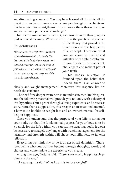and discovering a concept. You may have learned all the diets, all the physical exercise and maybe even some psychological mechanisms. But have you *discovered\_them?* Do you know them theoretically, or are you a living pioneer of knowledge?

In order to understand a concept, we must do more than grasp its philosophical meaning. We must *live* it. It is the practical experience

#### Consciousness

*The success of a weight loss program is linked to two main elements: the first one is the level of awarness and consciousness you are at the time of your choices. The second is the level of honesty, integrity and responsibility towards these choices.*

of the theory that provides the dimension and the big picture of a concept. Therefore what you are about to read is and will stay only a philosophy until you decide to experience it, challenge it and make it part of *your* Truth.

This book's reflection is founded upon the belief that, indeed, there is an answer to

obesity and weight management. Moreover, this response lies beneath the evidence.

The need for a deeper awareness is an understatement in this quest, and the following material will provide you not only with a theory of this hypothesis but a proof through a living experience and a success story. More than a supposition, this essay is an instructional manual, a how-to-do booklet to weight loss and an owner's manual for selfhelp to happiness.

Once you understand that the purpose of your Life is not about your body, but that the fundamental purpose for your body is to be a vehicle for the Life within, you can start to treat it as such. It won't be necessary to struggle any longer with weight management, for the harmony and strength within will shape your silhouette to its own reflection.

Everything we think, say or do is an act of self-definition. Therefore, define who you want to become through thoughts, words and choices and contemplate the experience you create.

A long time ago, Buddha said: "There is no way to happiness, happiness is the way."

17 years ago, I said: "What I want is to lose weight!"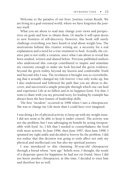Welcome to the paradox of our lives. Journey versus Result. We are living in a goal-oriented world, where we have forgotten the journey itself.

What you are about to read may change your views and perspectives on goals and how to obtain them. Or maybe it will open doors to new frontiers of self-discovery. However, this book will surely challenge everything you have heard or read about weight loss. The motivations behind this creative writing are: a necessity for a real explanation and a need for a true treatment to heal. Actually, the creative part is not really a creation, since what I am about to reveal has been studied, written and shared before. Previous published authors who understood this concept contributed to inspire and stimulate my curiosity enough to make me look beyond the given evidence, beyond the given reality, beyond my known and comfortable Truth and beyond who I was. The revelation it brought was so overwhelming that it actually changed my Life forever. I not only woke up, but I also understood and followed the path that you are about to discover, and uncovered a simple principle through which one can heal and experience Life at its fullest and in its happiest form. For that, I want to share with you my personal story, for leading by example has always been the best feature of leadership skills.

The first "incident" occurred in 1998 when I met a chiropractor. She was to change my Life more than I could have ever imagined.

I was doing a lot of physical activity to keep up with my weight issue. I did not seem to be able to keep it under control. The activity was not the problem, but I was sabotaging its benefit by acting irresponsibly with food. So, I felt that I needed to counterbalance the food with more activity. In June 1996, then June 1997, then June 1998, I sprained my right ankle and decided to forever fix the problem. I did not realize that this decision was going to truly affect not only my physical and intellectual core but also my spiritual journey.

I was introduced to this charming 30-year-old chiropractor through a friend whose "new age" beliefs were, I thought, the result of a desperate quest for happiness he had not yet found. Since I did not know another chiropractor, at this time, I decided to trust him and therefore her as well.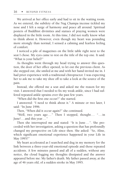We arrived at her office early and had to sit in the waiting room. As we entered, the subtlety of the Nag Champa incense tickled my nose and I felt a surge of harmony and peace all around. Spiritual posters of Buddhist divinities and statues of praying women were displayed in the little room. At this time, I did not really know what to think about it. However, even though my heart was pounding more strongly than normal, I sensed a calming and fearless feeling of comfort.

I noticed a pile of magazines on the little table right next to the seat I chose. My eyes came to rest on the title of the top one. It said: "What is your belief?"

As thoughts went through my head trying to answer this question, the door of her office opened, to let out the previous client. As she stepped out, she smiled at me and with her hand invited me in. I had prior experience with a traditional chiropractor. I was expecting her to ask me to take my shoe off to take a look at the source of the pain.

Instead, she offered me a seat and asked me the reason for my visit. I answered that I needed to fix my weak ankle, since I had suffered repeated ankle sprains over the past few years.

"When did the first one occur?" she started.

I answered: "I need to think about it." A minute or two later, I said: "In June 1996.

Then, "When did it occur again?" she continued.

"Well, two years ago... " Then I stopped, thought... " ...in June!... and this year... "

Then she interrupted me and stated: "It is June ... ". She proceeded with her investigation, asking a question that has profoundly changed my perspective on Life since then. She asked: "So, Aline, which significant emotional experience happened in your Life in May 1995?"

My heart accelerated as I searched and dug in my memory for the link between a three-year-old emotional episode and those repeated accidents. A few minutes passed and all of a sudden, without any notice, the cloud fogging my thoughts dissipated and the answer appeared before me: My father's death. My father passed away, at the age of 46 years old, of a sudden stroke in May 1995.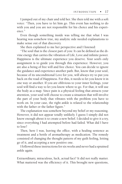I jumped out of my chair and told her. She then told me with a soft voice: "Then, you have to let him go. This event has nothing to do with you and you are not responsible for his choice and his experience."

Even though something inside was telling me that what I was hearing was somehow true, my analytic side needed explanations to make sense out of that discovery.

She then explained to me her perspective and I listened:

"The soul that is the closest part of you: It can be defined as the divine energy that carries the vibration of Life, Love and infinite power. Happiness is the ultimate experience you deserve. Your soul's only assignment is to guide you through this experience. However, you are also a being of free will and free choice. You can decide to ignore the guidance and experience another path. But, know that your soul, because of its unconditional Love for you, will always try to put you back on the road of Happiness. For this, it needs to let you know it in one way or another. If you are oblivious to your inner feelings, your soul will find a way to let you know where to go. For that, it will use the body as a map. Since pain is a physical feeling that attracts your attention, your soul will choose to create a situation that will involve the part of your body that vibrates with the problem you have to work on. In your case, the right ankle is related to the relationship with the father or the father figure."

The explanation was somehow beyond my belief or my reasoning. However, it did not appear totally unlikely. I guess I simply did not know enough about it to create a new belief. I decided to give it a try, since everything I had attempted before had failed. What did I have to lose?

Then, here I was, leaving the office, with a healing sentence as treatment and a bottle of aromatherapy as medication. The remedy consisted of changing the thought pattern of my guilt feeling, letting go of it, and accepting a new positive one.

I followed these instructions for six weeks and never had a sprained ankle again.

Extraordinary, miraculous, luck, actual fact? It did not really matter. What mattered was the efficiency of it. This brought new questions,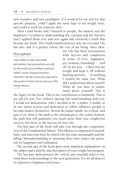new wonders and new paradigms. If it worked for me and for that specific purpose, could I apply the same logic to my weight issue, and could it work for someone else?

Then I read books and I listened to people, the masters and the beginners. I worked at understanding the concepts and the theories and I applied them over and over again and extracted a Truth that became my Truth. This Truth transformed not only my everyday Life but also, and to a greater extent, the core of my being. Since then,

#### Perception

*Your reality is only a personal perception. Your perception can only be the result of your beliefs and your beliefs can be changed anytime. Therefore, decide to perceive yourself in the greatest vision of you and carry this image always. . .*

my Life has been synonymous with success and completion in terms of Love, happiness, joy, richness, friendship... And oh, by the way ... I have lost my weight and kept it off without battling anymore ... Everything I wished for came true. What did I understand about myself? What do you have to understand about yourself? This is

the legacy of this book. This is my contribution to humanity. This is my gift for you. For, without sharing this understanding with you, I would not demonstrate who I decided to be: a leader. A leader, as in one whose actions and dedication to others influence people to become leaders themselves. Reveal the leader inside, let it shine, and pass it on. Here is the path to the missing piece, the coded element, the path that will guarantee you much more than your weight-loss success, but more so the success of your Life.

The first part of the book will take you through the comprehension of the Fundamental Matrix. This Matrix is composed of natural, basic and universal laws by which Life becomes meaningful and fulfilling. Misunderstanding or misusing these laws reduce the potential for happiness and realization.

The second part of the book gives more analytical explanations on the subject and a step-by-step description of your weight-loss program.

The last part demonstrates the critical and essential need to forward these understandings to the next generation. For we all deserve to experience happiness and peace.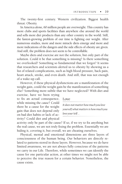The twenty-first century. Western civilization. Biggest health threat: Obesity.

In America alone, 60 million people are overweight. This country has more clubs and sports facilities than anywhere else around the world and sells more diet products than any other country in the world. Still, the fastest-growing problem of our time is fighting our weight. After numerous studies, more and more miracle diets emerge and more and more indications of the dangers and the side effects of obesity are given. And still, the problem does not seem to be controllable.

Maybe diets and exercise are not the solution, but only part of the solution. Could it be that something is missing? Is there something we overlooked? Something so fundamental that we forgot? It seems that researchers and scientists alerted us to obesity by showing us a list of related complications, such as high blood pressure, back pain, heart attack, stroke, and even death. And still, that was not enough of a wake-up call.

However, if these physical dysfunctions are a manifestation of the weight gain, could the weight gain be the manifestation of something else? Something more subtle that we have neglected? With diet and

exercise, have we been trying to fix an actual consequence, while missing the *cause*? Could there be a cause for the weight gain that does not depend only on bad diet habits or lack of activity? Could diet and physical

#### Love

*It does not matter how much you love yourself, what matters is how much you love your Self. . .*

activity only be part of the cause? If so, if we try to fix anything but the real cause, we are not truly fixing the problem. Essentially we are hiding it, covering it, but overall, we are cheating ourselves.

Physical, mental and emotional dimensions are three layers of consciousness of the human being. Our behaviors are directly related to patterns stored in those layers. However, because we do have limited awareness, we are not always fully conscious of the patterns we carry in our Life. Therefore, while sometimes we can identify the cause for one particular action, at other times we might not be able to perceive the true reason for a certain behavior. Nonetheless, the cause exists.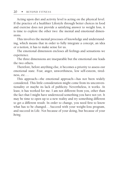Acting upon diet and activity level is acting on the physical level. If the practice of a healthier Lifestyle through better choices in food and exercise does not provide a satisfying answer to weight loss, it is time to explore the other two: the mental and emotional dimensions.

This involves the mental processes of knowledge and understanding, which means that in order to fully integrate a concept, an idea or a notion, it has to make sense for us.

The emotional dimension encloses all feelings and sensations we experience.

The three dimensions are inseparable but the emotional one leads the two others.

Therefore, before anything else, it becomes a priority to assess our emotional state. Fear, anger, unworthiness, low self-esteem, tiredness, etc ...

This approach—the emotional approach—has not been widely considered. This little consideration might come from its unconventionality or maybe its lack of publicity. Nevertheless, it works. At least, it has worked for me. I am not different from you, other than the fact that I might have understood something you have not yet. It may be time to open up to a new reality and try something different to get a different result. In order to change, you need first to know what has to be changed... Succeed with your weight-loss program, and succeed in Life. Not because of your doing, but because of your *being*.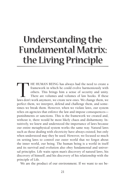# Understanding the Fundamental Matrix: the Living Principle

THE HUMAN BEING has always had the need to create a framework in which he could evolve harmoniously with others. This brings him a sense of security and unity. There are volumes and volumes of law books. If these laws don' framework in which he could evolve harmoniously with others. This brings him a sense of security and unity. There are volumes and volumes of law books. if these perfect them, we interpret, defend and challenge them, and sometimes we break them. However, when we violate laws, our system relies on agencies that enforce the law and impose consequences punishments or sanctions. This is the framework we created and, without it, there would be most likely chaos and disharmony. intuitively, we knew and understood the importance of laws because our entire metaphysical system works the same way. Natural laws such as those dealing with electricity have always existed, but only when understood may they be used. However, we focused so much on setting laws to control our outer world that we forgot about the inner world, our being. The human being is a world in itself and its survival and evolution also obey fundamental and universal principles. Life waits upon man's discovery of natural laws, his discovery of himself, and his discovery of his relationship with the principle of life.

We are the product of our environment. if we want to see be-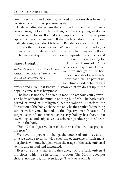yond these habits and patterns, we need to free ourselves from the constraints of our interpretation system.

Understanding the axioms that surround us is an initial and necessary passage before applying them, because everything we do has to make sense for us. If you don't comprehend the universal principles, then ask for guidance. If the guidance does not help your understanding, then don't believe it. But still seek your own Truth, for this is the right one for you. When you will finally find it, its resonance will vibrate with who you are and harmony will follow.

The incessant quest for happiness is imprinted in our cells and

#### Inner-strength

*No dumbbells and no exercises will make you feel strong. Only the Introspection and the self-discovery will . . .*

every one of us is seeking for it. How am I sure of it? Because every day of our Life we wake up and get out of bed. This is enough of a reason to know that there is a part of us, sometimes hidden, but always

present and alive, that knows. It knows that we do get up in the hope to come across happiness.

The body is not a self-operating machine without your control. The body without the mind is nothing but flesh. The body itself, devoid of mind or intelligence, has no volition. Therefore, the fluctuation of the body's shape can only be the result of something subtler within you. The body is the objective manifestation of a subjective mind and consciousness. Psychology has shown that psychological and subjective disturbances produce physical reactions in the body.

"Behind the objective form of the rose is the idea that projects the rose."

We have the power to change the course of our lives at any time we decide to do so. However, the occurrence of such metamorphosis will only happen when the usage of the basic universal laws is understood and integrated.

Every one of us is subject to the synergy of four basic universal principles, which are in constant motion. The Matrix does not choose, nor decide, nor even judge. The Matrix only is.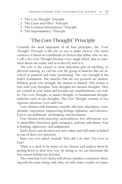- 1. "The Core Thought" Principle
- 2. "The Cause and Effect" Principle
- 3. "The Common Denominator" Principle
- 4. "The Impermanency" Principle

#### "The Core Thought" Principle

Certainly the most important of all four principles, the "Core Thought" Principle is the one we use to make choices. Our entire existence is based on a multitude of choices that define who we are. I call it the Core Thought because every single belief, idea or statement about our reality and us is directly tied to it.

The core is the central or most important part of anything. In physical training, we call the core the group of muscles that are involved in postural and static positioning. The core strength is the body's foundation. The muscles that are not postural are motion. Without good core strength, the motion is limited. This notion is true with your thoughts. Your thoughts are motion thoughts. They are created in your mind and become our manifestations, our reality. The Core Thought, or master thought, or fundamental thought, underlies each of our thoughts. The Core Thought consists of two opposite emotions: Love and Fear.

Love vibrates with harmony, warmth, affection, abundance, trust, pleasure, enjoyment, empowering feelings, lightness, and tolerance. Love is unconditional, unchanging, and permanent.

Fear vibrates with insecurity, unworthiness, low self-esteem, worry, immobility, heaviness, guilt, arrogance, jealousy, and shame. Fear is limiting, oppressive, and judgmental.

Each choice and decision you have taken and will make is linked to one of these two emotions.

Have you ever asked yourself: Why did I do that? For Love or Fear?

There is a need to be aware of our choices and analyze them by getting down to their very core. By doing so, we can determine the true reason behind our decision.

The conscious Love choice will always manifest a situation vibrating with the same energy and, thus, we will create a reality of expan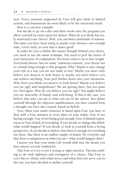sion. Every situation supported by Fear will give birth to limited actions, and frustrations are most likely to be the emotional result.

Here is a concrete example:

You decide to go on a diet and three weeks into the program you allow yourself an entire pizza for dinner. What do you think has truly motivated your choice? Well, you can find a multitude of reasons. The same you have been using to justify your choices—not enough time, you're tired, or even that it tastes good!

In order for you to define the master thought behind your choice, you need to use the *onion technique*. You need to peel the layers of your intentions. In explanation: You know what to do to lose weight. Everybody knows, but for some "unknown reasons" you choose not to commit long enough to this program. Why? Maybe it may change your Life in a way you are not ready to live? Maybe you don't truly believe you deserve to look better or maybe you don't believe you can achieve anything. Now peel further down into your intentions. Why don't you think you deserve to look better? Maybe you believe you are ugly and insignificant? We are getting there, but not quite yet. Peel again. Why do you believe you are ugly? You might believe you are unworthy of beauty and well-being. If this is the case, you believe that who you are is what you see in the mirror. You define yourself through the objective manifestation you have created from a thought you have also created, based on beliefs.

Now, when your entire existence is based upon Fear, you have to deal with a Fear emotion in every place in your reality. Fear of not having enough, Fear of not being good enough, Fear of limited experiences or Fear of lack of everything. If you decide to change this belief, what would happen? If you decide to look at yourself from a loving perspective, if you decide to believe that there is enough of everything out there, that there is an endless supply of beauty for everyone and that there is uniqueness in what you are—what would happen then?

I assure you that your entire Life would shift into the dream you have always secretly wished for.

This Fear or Love is not a wrong or right emotion. This has nothing to do with rightness and wrongness of a choice. This Fear or Love has to vibrate with what serves and what does not serve you in the way you have decided to define yourself.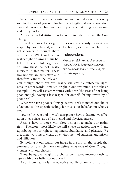When you truly see the beauty you are, you take each necessary step in the care of yourself, for beauty is fragile and needs attention, care and harmony. These are the components that bring Love around and into your Life.

An open-minded attitude has to prevail in order to unveil the Core Thought.

Even if a choice feels right, it does not necessarily mean it was inspire by Love. Indeed, in order to choose, we must match our fi-

nal action with thought about our reality: What makes our reality right or wrong? Our beliefs. Thus, absolute rightness or wrongness cannot really interfere in this matter. These two notions are subjective and therefore cannot be relevant.

#### Independence

*No accountability other than yours to your self should be considered. For no one, even close, should care about you more than yourself. . .*

Our thought about our own reality will create a subjective rightness. In other words, it makes it right in our own mind. Let's take an example—low self-esteem vibrates with Fear (the Fear of not being good enough, having a low respect for oneself, feeling unworthy of goodness).

When we have a poor self-image, we will seek to match our choice of actions to this specific feeling, for this is our belief about who we are.

Low self-esteem and low self-acceptance have a destructive effect upon one's spirits, as well as mental and physical energy.

Actions have to agree with Core Thought to make our reality right. Therefore, most likely we will chose an action that will end up sabotaging our right to happiness, abundance, and pleasure. We are, then, working to create an environment of suffering and misery and affliction.

By looking at our reality, our image in the mirror, the people that surround us, our job...we can define what type of Core Thought vibrates with our choices.

Thus, being overweight is a choice one makes unconsciously to agree with one's belief about oneself.

Also, if our reality is the objective manifestation of our uncon-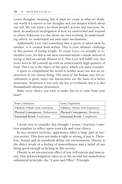scious thoughts, meaning that if what we create is what we think, our world is a mirror to our thoughts and our deepest beliefs about our self. We can learn a lot from people's actions and reactions. Indeed, an analytical investigation of how we understand and respond to others' behaviors is a clue about our own working. By understanding others, we understand our own inner mechanisms.

Additionally, Love isn't something that is given or taken away by another; it is created from within. This is your ultimate challenge in this pursuit of losing weight: To create Love—or actually to remember Love, for this is our most essential nature—inside instead of trying to find an outside illusion of it. This Love will fulfill you. You won't have to fill yourself up with an unnecessarily high quantity of food. This *Love* is the object of the quest, which you must consider.

A quest to comprehend the world is neither more nor less an exploration of our closest being. The need of the human race for socialization is great, since our interactions are the basis of a better awareness. Awareness is not only the key to evolution, but it is also Humankind's ultimate destination.

Make every choice you wish to make, but let it come from your heart!

| Fear: Limitation                     | Love: Expansion                 |
|--------------------------------------|---------------------------------|
| Choices: Vibrate with Limitation     | Choices: Vibrate with Expansion |
| Physical Consequence: Disharmony     | Physical Consequence: Harmony   |
| <b>Emotional Result: Frustration</b> | Emotional Result: Completion    |

I invite you to consider this thought / action / reaction / emotion template to reflect upon your Life and your choice.

In our western societies, appearance takes a large part in success stories. This does not make it right or wrong, it just is. Therefore, beauty and its standards define our environment. Obesity is the direct result of a feeling of unworthiness and a belief of not being good enough to belong in this society.

Obesity is an unconscious effect of low self-esteem and insecurity. This acknowledgment takes us to the second but nonetheless substantial principle: the "Cause and Effect" Principle.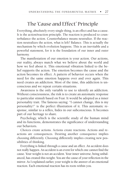#### The "Cause and Effect" Principle

Everything, absolutely every single thing, is an effect and has a cause. It is the action/reaction principle. The reaction is produced to counterbalance the action. Counterbalance means neutralize. If the reaction neutralizes the action, what is left? Balance. This is actually the mechanism by which evolution happens. This is an inevitable and a powerful statement, for it is the foundation of our inner and outer harmony.

The manifestation of our emotion is your action. Our actions, our reality, always match what we believe about the world and how we feel about it. This emotional vibration linked to the belief supports the action. The emotion becomes the cause and the action becomes its effect. A pattern of behavior occurs when the need for the same emotion happens over and over again. This need creates an addiction. Most of the time, this addiction is unconscious and we repeat certain situations.

Awareness is the only variable to use to identify an addiction. Without consciousness, the risk is to create an automatic response to particular stimuli based on Fear. It would be adopted as a inner personality trait. The famous saying: "I cannot change, this is my personality!" is the perfect illustration of it. This automatic response, similar to a reflex, hides in our subconscious. It becomes part of our heritage to share.

Psychology, which is the scientific study of the human mind and its functions, demonstrates the significance of understanding our behaviors.

Choices create actions. Actions create reactions. Actions and reactions are consequences. Desiring another consequence implies choosing differently. Choosing differently implies creating new possibilities of thinking.

Everything is linked through a cause and an effect. An accident does not really happen. An accident is an event for which one cannot find the cause. Your weight is not an accident. Your inner universe, being unbalanced, has created this weight. You are the cause of your reflection in the mirror. As I explained earlier, your weight is the answer of an emotional reaction. Each emotional reaction has its roots within you.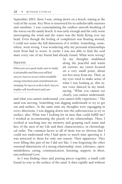September 2003, there I was, sitting down on a beach, staring at the void of the ocean. Key West is renowned for its unbelievable sunrises and sunshine. I was contemplating the endless smooth breaking of the waves on the sandy beach. It was early enough and the only noise interrupting the wind and the water was the birds flying over my head. Even though the feeling of completion was floating around, I could not sense the full dimension of it within. Something, somewhere, went wrong. I was wondering why my personal relationships went from bad to worst. It seems I was not able to find the soul mate every one of my friend had already found. What went wrong?

#### **Success**

*When you set a goal, make sure to make it attainable and then you will feel success. Success occurs when available energy, intention and commitment are merging. No success is du to luck. Success implies self-involvment and care.*

As my thoughts undulated along the peaceful and warm air current, my vision focused on a very small point, about ten feet away from me. Then, as my eyes tried to make sense of what I was looking at, this inner voice danced in my mind, saying, "What you cannot see clearly, you cannot understand,

and what you cannot understand, you cannot fully experience." The sand was moving. Something was digging underneath to try to get out and surface. At the same time my thoughts were zigzagging in every directions. I was digging down into the subconscious to try to surface, also. What was I looking for in men that could fulfill me? I worked at reconstituting the puzzle of my relationships. Then, I worked at reaching into my memory and grasping each name and face of the men of my Life and their characteristics, in chronological order. The common factor to all of them was so obvious that I could not understand why I had spent so much time ignoring it. I was attracted to them for only one reason: Their apparence. They were filling this part of me I did not like. I was forgetting the other essential dimensions of a strong relationship: trust, tolerance, openmindedness, caring, communication, listening, support; in short, unconditional Love.

As I was finding clues and putting pieces together, a small crab found its way to the surface of the sand. It then rapidly and without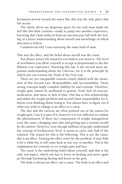hesitation moved toward the water like this was the only place that felt secure.

The clarity about my desperate quest for my soul mate made me feel like this little creature—ready to jump into another experience, knowing that I had surfaced from an unconscious full with the feeling of a better understanding about myself and knowledge of which direction to follow.

I understood why I was attracting the same kind of man.

This was the effect, and the belief about myself was the cause.

You always attract the situation you believe you deserve. The level of worthiness you allow yourself to accept is proportional to the fulfillment you experience. Knowing this law is the second most important understanding about the Universe, for it is the principle by which one can witness the Truth of the First Law.

There are two inseparable notions closely linked with the awareness of this Second Law: Responsibility and Accountability. Those strong concepts imply complete liability for one's actions. Therefore, weight gain cannot be attributed to genetic, food, lack of exercise, medication, and stress or lack of time. One has to first acknowledge and admit the weight problem and second claim responsibility for it, before even thinking about losing it. You always have to figure out if what you wish to change is an effect or a cause.

The diet and the exercise are often pointed out as the reason for weight gain. I say it is part of it; however it is not sufficient to explain the phenomenon. If these two components of weight management were the cause, changing one's diet and getting into a routine would be the answer. However, even though millions of people understand the concept of food/activity level, it seems to carry only half of the solution. The reason for this is the following: This is not the cause; this is an effect. Treating the effect won't fix the problem. It may hide it for a while but it will come back in one way or another. This is the explanation for constant yo-yo weight gain and loss.

The cause is the underlying belief about yourself, and that is the only real aspect, which one has to focus on healing and never again go through frustrating dieting and hours at the gym.

The body is always an effect, not a cause. The body is an effect and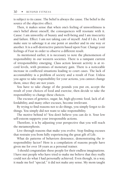is subject to its cause. The belief is always the cause. The belief is the source of the objective effect.

Then, it makes sense that when one's feeling of unworthiness is one's belief about oneself, the consequences will resonate with it. Cause: I am unworthy of beauty and well-being and I am insecurity and failure. Effect: I am not taking care of myself. And if I do, I will make sure to sabotage it at one point or another and in one way or another. It is a self-destructive pattern based upon Fear. Change your feelings of Fear in order to observe a different result.

As mentioned earlier, it is necessary to note the phenomenon of responsibility in our western societies. There is a rampant current of irresponsibility emerging. Class action lawsuit activity is at record levels, with promises of monetary gain. There is a noticeable increase in conflicted situations leading to court cases. The lack of accountability is a problem of society and a result of Fear. Unless you agree to take responsibility for your actions, you cannot change them, since they are not yours.

You have to take charge of the pounds you put on, accept the result of your choices of food and exercise, then decide to take the responsibility to change these choices.

The excuses of genetics, sugar, fat, high-glycemic food, lack of affordability, and many other excuses, become irrelevant.

By trying to find reasons not to do things, you simply forgot to do things. You simply did not want to take responsibility.

The motive behind it? You don't believe you can do it. Your low self-esteem supports your irresponsible actions.

Therefore, it is by adjusting your perspective that you will reach the metamorphosis.

Live through reasons that make you evolve. Stop finding excuses that restrain you from fully experiencing the great gift of Life.

What do patterns of behaviors denounce, demonstrating the irresponsibility factor? Here is a compilation of reasons people have given me for over 18 years as a personal trainer.

I should congratulate these people for their endless imaginations. I have met people who have tried to make me believe that they really could not do what I had personally achieved. Even though, in a way, it made me feel "special," it did not make any sense. My mom taught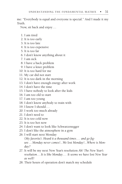me: "Everybody is equal and everyone is special." And I made it my Truth.

Now, sit back and enjoy ...

- 1. I am tired
- 2. It is too early
- 3. It is too late
- 4. It is too expensive
- 5. It is too far
- 6. I don't know anything about it
- 7. I am sick
- 8. I have a back problem
- 9. I have a knee problem
- 10. It is too hard for me
- 11. My car did not start
- 12. It is too dark in the morning
- 13. I don't have enough energy after work
- 14. I don't have the time
- 15. I have nobody to look after the kids
- 16. I am too old to start
- 17. I am too young
- 18. I don't know anybody to train with
- 19. I know I should...
- 20. I work too much already
- 21. I don't need to
- 22. It is too cold now
- 23. It is too hot now
- 24. I don't want to look like Schwarzenegger
- 25. I don't like the atmosphere in a gym
- 26. I will start next Monday (*My favorite*). *Heard it a thousand times...  and go figure ...Monday never comes!...We lost Monday!...Where is Monday?*
- 27. It will be my next New Year's resolution *Ah! The New Year's resolution . . .It is like Monday ...  It seems we have lost New Year as well!*
- 28. Their hours of operation don't match my schedule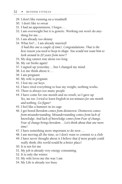- 29. I don't like running on a treadmill
- 30. I don't like to sweat
- 31. I had an appointment, I forgot...
- 32. I am overweight but it is genetic. Working out won't do anything for me ...
- 33. I am already too skinny
- 34. What for?... I am already married! *(I had this one a couple of time). Congratulations. That is the best reason you need to keep in shape. You would not want him to look around in 20 years from now!?*
- 35. My dog cannot stay alone too long
- 36. My car broke again!
- 37. I signed up yesterday ...but I changed my mind
- 38. Let me think about it...
- 39. I am pregnant
- 40. My wife is pregnant
- 41. I lost my car keys
- 42. I have tried everything to lose my weight, nothing works.
- 43. There is always too many people
- 44. I have come for one month and no result, so I gave up *Yes, me too. I tried to learn English in ten minutes for one month and nothing. Go figure!*
- 45. I feel like a hamster in its cage
- 46. I get bored *Boredom comes from disinterest. Disinterest comes from misunderstanding. Misunderstanding comes from lack of knowledge. And lack of knowledge comes from Fear of change. Fear of change brings boredom...Let's think about that one more time!*
- 47. I have something more important to do now...
- 48. I am moving all the time, so I don't want to commit to a club
- 49. I have never thought about it *I believe that if more people could really think, this world would be a better place!*
- 50. It is not for me
- 51. My job is already very energy consuming.
- 52. It is only the winter
- 53. My wife loves me the way I am
- 54. My Life is already too busy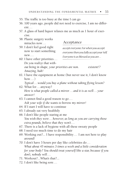- 55. The traffic is too busy at the time I can go
- 56. 100 years ago, people did not need to exercise, I am no different...
- 57. A glass of hard liquor relaxes me as much as 1 hour of exercise.
- 58. Plastic surgery works miracles now...

## Acceptance

59. I don't feel good right now to start something new...

*accept everyone. For when you accept everyone then you fully accept your Self. Everyone is as blessed as you are. . .*

- 60. I have other priorities...  *Do you realize that without being in shape, your priorities are non. existent!? Amazing, huh!*
- 61. I have the equipment at home (but never use it, I don't know  $how...$ )

 *Typical.. .would you buy a plane without taking flying lesson?*

- 62. What for... anyway?  *Here is what people called a mirror. . . and it is as well... your answer!*
- 63. I cannot find a good reason to go...  *Ask your wife if she wants to borrow my mirror!*
- 64. If I start I will have to continue
- 65. I already eat very healthily
- 66. I don't like people staring at me  *You wish they were . . . however, as long as you are carrying those extra pounds, believe that they won't. . .*
- 67. There is a lack of hygiene with all these sweaty people
- 68. I need too much time to do my hair
- 69. Working out?... I have responsibility ... I am not here to play around!
- 70. I don't have 3 hours per day like celebrities do...  *What about 45 minutes 3 times a week and a little consideration for your body? You should treat yourself like a star, because if you don't, nobody will...*
- 71. Workout?...What's that?...
- 72. I don't like being sore ...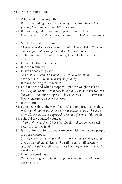- 73. Why would I hurt myself?  *Well...  according to what I am seeing, you have already hurt yourself badly enough. So a little bit more . . .*
- 74. If it was so good for you, more people would do it...  *I guess you are right, but then, if cocaine is so bad, why do people do it?...*
- 75. My doctor told me not to...  *Change your doctor as soon as possible. He is probably the same one who prescribes you pills to sleep better at night. . .*
- 76. I ate too much yesterday evening, I feel bloated, maybe tomorrow...
- 77. I don't like the smell in a club...
- 78. It is too restrictive ...
- 79. I have nobody to go with  *And that's OK, don't be scared, you are 28 years old now... you have got to learn to make a step by yourself...*
- 80. It takes too long to see results...
- 81. I did it once and when I stopped, I put the weight back on...  *So .. . explain to me  . . . you play lottery and you have not won yet but you still continue to spend 10 bucks a week . . . ? Is there some logic I have missed along the way?*
- 82. It is not fun...
- 83. I don't care about the way I look, what's important is inside...  *Well, I might not want to look at your inside too much because, after all, the outside is supposed to be the reflection of the inside!*
- 84. I should have started younger...  *That's right, you should have, but thank God you are not dead yet...it is not too late!*
- 85. It is not for me. Some people are born with it and some people are born without...  *So do you think that people who are born without money should give up on making it? Those who will try hard will probably succeed ...Pardon?...Oh... you don't have any money either?...I wonder why?...*
- 86. I am not coordinated...

 *You have enough coordination to put one foot in front of the other one and walk ...*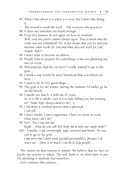87. What I like about it is when it is over, but I don't like doing it...

 *The reward is worth the work...Ask everyone who practices!*

- 88. It does not stimulate my brain enough...
- 89. Even two trainers do not agree on how to workout...  *Well, even two jurors cannot always agree. Does it mean that the crime was not committed? No, it just means that you try and you measure what works for you and what does not work for you! Simple, huh!?*
- 90. I don't want to become an athlete...
- 91. People train to prepare for something—I am not planning any race or event...
- 92. Did someone find my car keys? I really wanted to go to the gym...
- 93. I think a nap would be more beneficial than a workout session....
- 94. I used to be in very good shape ...
- 95. The gym is for the winter, during the summer I'd rather go lie on the beach!
- 96. I smoke too much; it kills me if I train...  *So, it is OK to smoke, even if it is truly killing you, but training, no? (Some logic always amazes me!...)*
- 97. I am more a cerebral person than a physical...  *I can tell. . .*
- 98. I don't smoke, I am a vegetarian, I have no stress at work, what more can I do?
- 99. Fat?...No, I am not fat!  *Right...what do you call 36% body fat in only one single body?*
- 100. I smoke, I am overweight, ugly, stressed and broke. No reason to go to the gym...

 *I am sorry but I don't treat suicidal personalities, because I always say . . .there is so much I can do to help people!...*

The reason we find reasons is simple: We believe that we have to justify our actions to others. The real Truth is, we don't have to justify anything to anybody but ourselves.

Let's continue this journey...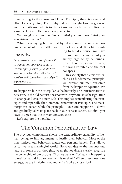According to the Cause and Effect Principle, there is cause and effect for everything. Then, why did your weight loss program or your diet fail? And who is to blame? Are you really ready to listen to a simple Truth?... Here is a new perspective:

*Your weight-loss program has not failed you; you have failed your weight-loss program!*

What I am saying here is that by taking away the most important element of your battle, you did not succeed. It is like want-

#### Prosperity

*Demonstrate the success of your will to change and open your arms to welcome prosperity in your life. Give love and you'll receive it. Give joy, and you'll share it. Give a blessing and you'll experience it. . .*

ing to build a house. You have the roof and the walls, but you simply forgot to lay the foundation. Therefore, sooner or later, the walls crumble and the roof collapses.

In a society that claims ownership as a fundamental principle, we cannot subtract ourselves from the happiness equation. We

are happiness like the caterpillar is the butterfly. The transformation is necessary. If the old pattern does not work anymore, it is the right time to change and create a new Life. This implies remembering the principles and especially the Common Denominator Principle. The metamorphosis occurs while the principle—Love and Happiness—slowly and gradually takes its place back in our consciousness. But first, you have to agree that this is *your* consciousness.

Let's explore the next law...

# The "Common Denominator" Law

The previous compilation shows the extraordinary capability of human beings to find arguments to justify their behavior. Most of the time, indeed, our behaviors match our personal beliefs. This allows us to live in a meaningful world. However, due to the unconscious nature of some of our thoughts, we might not always clearly recognize the ownership of our actions. Thus we can say: "What is it happening to me? What did I do to deserve this or that?" When these questions emerge, we are in victimhood mode. Let's take a closer look.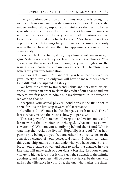Every situation, condition and circumstance that is brought to us has at least one common denominator. It is *we*. This specific understanding, alone, supports and reinforces the need to be responsible and accountable for our actions. Otherwise no one else will. We are located at the very center of all situations we live. How does it not make us liable for them? We have to start accepting the fact that things happen to us for the simple and only reason that we have allowed them to happen—consciously or unconsciously.

Food and lack of activity, alone, play a limited role in our weight gain. Nutrition and activity levels are the results of choices. Your choices are the results of your thoughts; your thoughts are the results of your conscious and unconscious beliefs. Therefore, *your* beliefs are your very foundation.

Your weight is yours. You and only you have made choices for your Lifestyle. You and only you will have to make other choices for a different and upgraded Lifestyle.

We have the ability to transcend habits and persistent experiences. However, in order to claim the credit of our change and our success, we first need to admit our involvement in the situation we wish to change.

Accepting your actual physical conditions is the first door to open, for it is the first step toward self-acceptance.

Gandhi said: "We must be the change we wish to see." The effect is what you see; the cause is how you perceive.

This is a powerful statement. Perception and vision are two different words that are often interchanged. What matters is, who is watching? Who are you identifying behind the vision? Who is watching the world you live in? Hopefully, it is you! What happens to you belongs to you. You are either the unconscious or the conscious creator of your perceptual reality. Nobody can claim this ownership and no one can undo what you have done. So, embrace your creative power and start to make the changes in your Life that will make each of your days a blessing. Let your energy vibrate to higher levels, for it will carry the strength of the infinite goodness, and happiness will be your experience. Be the one who makes the difference in your Life, the one who makes the differ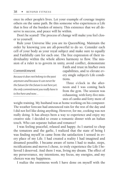ence in other people's lives. Let your example of courage inspire others on the same path. Be this someone who experiences a Life that is free of the burden of misery. This existence that we all deserve is success, and peace will lie within.

Don't be scared! The process of change will make you feel closer to yourself.

Rule your Universe like you are its Queen/King. Maintain the order by knowing you are all-powerful to do so. Consider each cell of your body as your royal subject and make sure to equally and Faithfully care for each one. The free expression of their individuality within the whole allows harmony to flow. The mission of a ruler is to govern in unity, avoid conflict, demonstrate

#### Commitment

*Because it does not belong to the past anymore and because it can never be the future for the future is not here yet, the only commitment you really have is to live here and now. . .*

Faith and trust in his/her own capabilities, and to elevate every single subject's Life conditions.

Three o'clock in the afternoon and I was coming back from the gym. The session was exhausting, with forty-five minutes of cardio and forty more of

weight training. My husband was at home working on his computer. The weather forecast had announced rain for the rest of the day and I did not feel like doing anything. However, for me, cooking was not really doing. It has always been a way to experience and enjoy my creative side. I decided to create a romantic dinner with an Italian touch. Who can separate Italian and romance?

I was feeling peaceful, relaxed and happy. As I started to chop the tomatoes and the garlic, I realized that the state of being I was finding myself in came from the satisfaction I sensed in every place of my Life. I had created a reality I had imagined and dreamed possible. I became aware of turns I had to make, steps, rectifications and moves I chose, to truly experience the Life I believed I deserved. And there I was, living my dream. The effect of my perseverance, my intentions, my focus, my energies, and my choices was my happiness.

I realize the enormous work I have done on myself with the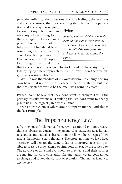pain, the suffering, the questions, the lost feelings, the wonders and the revelations; the understanding that changed my percep-

tion and the way I was going to conduct my Life. I congratulate myself on having found the courage to believe in a power of which I was not even fully aware. I had dared trying something else and had received the best payback ever. Change was my only option, for I thought I had tried every-

## Divine

*Consider, admire and define your body like the divine sparkle that animates it. There is an element more subtle and more beautiful than the flesh . . .this is what inhabits it. . .the essence, the source. . .*

thing else and nothing seemed to work. I did not have anything to lose by trying a new approach to Life. If I only knew the precious gift I was going to discover.

My Life was the product of my own decision to change and my own belief that not only did I deserve a better existence, but also that this existence would be the one I was going to create.

Perhaps some believe that they don't want to change! This is the primary mistake we make. Thinking that we don't want to change places us in the biggest paradox of all time.

Our entire system revolves around impermanency. And this is the last Principle.

# The "Impermanency" Law

Life, in its most fundamental form, revolves around motions. Everything is always in constant movement. Our existence as a human race and as individuals is based upon the flow. The concept of flow means that nothing stays the same. Therefore, nothing we have lived yesterday will remain the same today or tomorrow. It is not possible to preserve time, energy or situations in exactly the same state. The advance of time and evolution are inevitable and their courses are moving forward, constantly. On one hand, we are condemned to change and follow the current of evolution. The matter is now to decide *how*.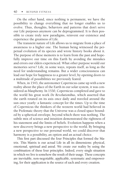On the other hand, since nothing is permanent, we have the possibility to change everything that no longer enables us to evolve. Thus, thoughts, behaviors and patterns that don't serve our Life purposes anymore can be deprogrammed. It is then possible to create truly new paradigms, reinvent our existence and experience the greatness of Life.

The transient nature of Life allows us to migrate from a place of awareness to a higher one. The human being witnessed the perpetual evolution of its species and wrote history books about it. The purpose of these memoirs is to learn from the past and hopefully improve our time on this Earth by avoiding the mistakes and errors our elders experienced. What other purpose would our memories serve? Life, in some ways, repeats itself, as long as the need for understanding remains. But a wider consciousness can lead our hope for happiness to a greater level, by opening doors to a multitude of possibilities we previously feared.

When, in 1543, the astronomer Copernicus came up with a new reality about the place of the Earth in our solar system, it was considered as blasphemy. In 1530, Copernicus completed and gave to the world his great work *De Revolutionibus*, which asserted that the earth rotated on its axis once daily and traveled around the sun once yearly: a fantastic concept for the times. Up to the time of Copernicus the thinkers of the western world had believed in the Ptolemaic theory that the Universe was a closed space bounded by a spherical envelope, beyond which there was nothing. The subtle mix of science and intuition demonstrated the rightness of his statement and the limits of beliefs. Evolution happens when a new discovery brings a new perspective to the world. By bringing a new perspective to our personal world, we could discover that harmony is a possibility, an option and an actual choice.

This first part discussed the four Principles that formed the Matrix. This Matrix is our actual Life in all its dimensions: physical, emotional, spiritual and astral. We create our reality by using the combination of these four principles. Indeed, every single situation in which we live is somehow the result of their usage. These concepts are inevitable, non-negotiable, applicable, systematic and empowering, for their application is the source of each and every creation.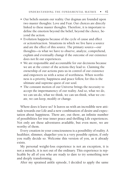- Our beliefs sustain our reality. Our dogmas are founded upon two master thoughts: Love and Fear. Our choices are directly linked to these master thoughts. Therefore, it is important to define the emotion beyond the belief, beyond the choice, beyond the action.
- Evolution happens because of the cycle of cause and effect or action/reaction. Situations in which we live have a source and are the effect of this source. The primary source—our thoughts—is what we have to observe, analyze, comprehend, explain and eventually change if the outcome of our existence does not fit our experiences.
- We are responsible and accountable for our decisions because we are at the center of the actions they lead to. Claiming the ownership of our actions puts us in control of our existence and empowers us with a sense of worthiness. When worthiness is a priority, happiness and peace follow, for this is the ultimate and supreme quest of our soul.
- The constant motion of our Universe brings the necessity to accept the impermanency of our reality. And so, what we do, we can un-do, what we think, we can un-think, what we create, we can keep, modify or change.

Where does it leave us? It leaves us with an incredible new attitude towards our Life and a new combination of desire and expectation about happiness. There are, out there, an infinite number of possibilities for true inner peace and thrilling Life experiences. Not only are these adventures available, but even more, we are worthy of them.

Every creation in your consciousness is a possibility of reality. A healthier, slimmer, shapelier you is a very possible option, if only you really decide so. Welcome this version of you, as it already exists.

My personal weight-loss experience is not an exception, it is not a miracle, it is not out of the ordinary. This experience is replicable by all of you who are ready to dare to try something new and deeply transforming.

After my sprained ankle episode, I decided to apply the same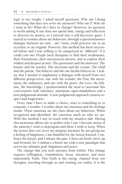logic to my weight. I asked myself questions: Why am I doing something that does not serve me anymore? Who am I? Who do I want to be? What do I have to change? However, no question is worth asking if one does not spend time, energy and reflection to discover its answer, so I entered into a self-discovery quest. I started to wonder about my behaviors, through a question/answer dialogue between me and...me! Some could perceive me as an eccentric or an original. However, this method has been successful before and I was willing to be categorized as "different" if it could cure me! People need therapists to find their weaknesses, their frustrations, their unconscious desires, and to explore their wildest and deepest secrets. The questioner and the answerer. The learner and the teacher. The uncertain and the certain. The child and the parent. The believer and the one he/she believes in. I realize that I needed to implement a dialogue with myself from two different perspectives: one with the wonder, the Fear, the uncertainty, the unknown; and one with the peace, the Love, the Infinite, the knowledge. I predetermined the need to surround this conversation with tolerance, maximum open-mindedness and a non-judgmental attitude. A non-judgmental approach ensures respect and forgiveness.

Every time I have to make a choice, react to something or to someone, I wonder. I wonder about my emotions and the feelings inside. These emotions are the clues about my behaviors. When recognized and identified, the emotions teach us who we are. With this method I stay in touch with my intuitive side. Having this awareness allows me to perfect who I am. I become aware of the patterns I wish to deprogram and those I wish to keep. When the action does not serve my purpose anymore by not giving me a feeling of happiness, I am thankful for the lesson learned, I embrace the lesson, and I release the past. I then can freely move up and forward, for I embrace a better me with a new paradigm that serves my ultimate goal: happiness and peace.

The change that you seek operates from within. This change requires willingness, commitment, focus, intention, and most importantly Faith. This Faith is the energy channel from our thoughts, traveling through us and creating our reality. It is the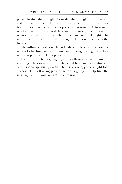power behind the thought. Consider the thought as a direction and faith as the fuel. The Faith in the principle and the conviction of its efficiency produce a powerful treatment. A treatment is a tool we can use to heal. It is an affirmation, it is a prayer, it is visualization, and it is anything that can carry a thought. The more intention we put in the thought, the more efficient is the treatment.

Life within generates safety and balance. These are the components of a healing process. Chaos cannot bring healing, for it does not even perceive it. Only peace can.

The third chapter is going to guide us through a path of understanding: The essential and fundamental basic understandings of our personal spiritual growth. There is a strategy to a weight-loss success. The following plan of action is going to help find the missing piece to your weight-loss program.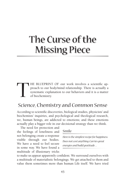# The Curse of the Missing Piece

THE BLUEPRINT OF our work involves a scientific approach to our body/mind relationship. There is actually a systematic explanation to our behaviors and it is a matter of biochemistry. proach to our body/mind relationship. There is actually a systematic explanation to our behaviors and it is a matter of biochemistry.

# Science, Chemistry and Common Sense

According to scientific discoveries, biological studies, physicists' and biochemists' inquiries, and psychological and theological research, we, human beings, are addicted to emotions; and these emotions actually play a bigger role in our decisional strategy than we think.

The need for protection and the feelings of loneliness and not belonging create a response visible through our bodies. We have a need to feel secure in some way. We have found a multitude of illusionary tricks

## Smile

*Here is the simplest recipe for happiness. Does not cost anything. Carries great energies and build gratitude . . .* 

to make us appear apparently confident. We surround ourselves with a multitude of materialistic belongings. We get attached to them and value them sometimes more than human life itself. We have tried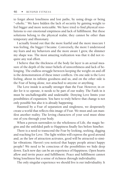to forget about loneliness and lost paths, by using drugs or being "-oholic." We have hidden the lack of security by gaining weight to feel bigger and more noticeable. We have tried to find physical resolutions to our emotional emptiness and lack of fulfillment. But these solutions belong to the physical realm; they cannot be other than temporary and illusionary.

I actually found out that the more fearful and the more insecure I was feeling, the bigger I became. Conversely, the more I understood my fears and my behaviors and the more aware I grew, the slimmer my shape was. The most amazing realization was that it did not require any real effort.

I believe that the thickness of the body fat layer is an actual measure of the depth of the inner beliefs of unworthiness and lack of belonging. The endless struggle between keeping the weight on and off is the demonstration of these inner conflicts. On one side is the Love feeling, about its infinite goodness and us, and on the other side is the Fear of being alone, not attached to anyone or anything.

The Love inside is actually stronger than the Fear. However, in order for it to operate, it needs to be part of our reality. The Faith in it must be unchallengeable and undeniable. Denying Love limits your possibilities of expansion. You have to truly believe that change is not only possible but also it is already happening.

Haunted by a Fear of separation and singleness, we desperately create a world that reflects this image of Fear. We must and can manifest another reality. The loving characters of your soul must shine out of you through your body.

When a person surrenders to the wholeness of Life, the magic begins and the unfolded path to Happiness finally lies before him/her.

There is a need to transcend the Fear by looking, seeking, digging and reaching for Love. The light within will express the good around and, as the law of attraction activates, good will be attracted to similar vibrations. Haven't you noticed that happy people attract happy people? We need to be conscious of the possibilities we hide deep down. Each new day can be an experience of Happiness. Open hearts allow and invite peace and fulfillment. Peace and fulfillment cannot bring loneliness but a sense of richness through individuality.

The only singular experience we should live is our individuality. It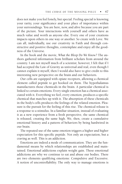does not make you feel lonely, but special. Feeling special is knowing your rarity, your significance and your place of importance within your surroundings. You are here, now, and alive because you are part of the picture. Your interactions with yourself and others have as much value and worth as anyone else. Every one of your creations impacts upon others in one way or another. So create with Love. We can all, individually, use our creativity in Faith and through constructive and positive thoughts, contemplate and enjoy all the goodness of the Universe.

In the book and the movie, *What the Bleep Do We Know?* The authors gathered information from brilliant scholars from around the country. I am not myself much of a scientist; however, I felt that if I had accepted the Law of Gravity as universal and real, even though I cannot explain it myself, then I would also have to give credit to this interesting new perspective on the brain and our behaviors.

Our cells are equipped with opiate receptors, allowing a chemical element called peptide to get hooked on them. The hypothalamus manufactures those chemicals in the brain. A particular chemical is linked to certain emotions. Every single emotion has a chemical associated with it. Everything we feel, every emotion, produces a specific chemical that matches up with it. The absorption of these chemicals in the body's cells produces the feelings of the related emotion. Pleasure is the pursuit for the feeling of this rise. The chemical release is a response to a stimulus. In a familiar situation, instead of evaluating it as a new experience from a fresh perspective, the same chemical is released, creating the same high. We, then, create a cumulative emotional history and a pattern of behaviors by being hardwired in our brain.

The repeated use of the same emotion triggers a higher and higher expectation for this specific peptide. Not only an expectation, but a craving as well. This is an addiction.

Emotions are indeed a mode of communication. They are the fundamental means by which relationships are established and maintained. Emotional addictions explain weight gain. These emotional addictions are why we continue to eat and abuse our bodies. There are two elements qualifying emotions: Compulsive and Excessive. A notion of uncontrollability. The only way to manage emotions is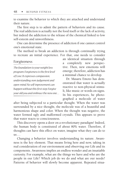to examine the behavior to which they are attached and understand their nature.

The first step is to admit the pattern of behaviors and its cause. The real addiction is actually not the food itself or the lack of activity, but indeed the addiction to the release of the chemical linked to low self-esteem and unworthiness.

One can determine the presence of addiction if one cannot control one's emotional state.

The method to break an addiction is through continually trying to recreate an initial experience. For that, one needs to consider

# Forgiveness

*The foundation to your weight loss program. Forgiveness is the first level of Love. It expresses compassion, understanding, non-judgement and open-mind. No self-inprovement can happen without this first step. Forgive your old you and embrace the new one. . .* an identical situation through a completely new perspective. Then, new emotions will emerge; therefore, addiction has a minimal chance to develop.

Dr. Masaru Emoto has demonstrated that water is actually reactive to non-physical stimuli, like music or words on signs. In his experiences, he photographed a molecule of water

after being subjected to a particular thought. When the water was surrounded by a nice thought, the molecule was of a beautiful and harmonious shape and color. When the thought was negative, the water formed ugly and malformed crystals. This appears to prove that water reacts to consciousness.

This discovery opens a door on a revolutionary paradigm! Indeed, the human body is constituted of about 80% water. Therefore, if thoughts can have this effect on water, imagine what they can do to us...

Changing a behavior involves understanding its nature. Awareness is the key element. That means living here and now, taking in real consideration of our environment and observing our Life and its components. Awareness implies an endless wonder and an insatiable curiosity. For example, what are the things we have and who are the people in our Life? Which job do we do and what are our needs? Patterns of behavior will slowly become apparent. Repeated situa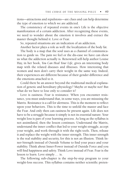tions—attractions and repulsions—are clues and can help determine the type of emotion to which we are addicted.

The consistency of repeated events in one's Life is the objective manifestation of a certain addiction. After recognizing these events, we need to wonder about the emotion it involves and extract the master thought behind it: Love or Fear.

So, repeated situations are an indication of an addiction.

Another factor plays a role as well: the localization of the body fat.

The body is a map that the soul uses as a channel of communication to guide us. The pain we feel or the dis-ease we have can show us what the addiction actually is. Renowned self-help author Louise Hay, in her book, *You Can Heal Your Life*, gives an interesting body map with the related diseases and illnesses. How interesting that women and men don't carry their weight in the same way. Indeed, their experiences are different because of their gender difference and the emotions attached to it.

Could there be an answer beyond the traditional medical explanation of genetic and hereditary physiology? Maybe or maybe not! But what do we have to lose only to consider it?

Love is easiness. Fear is resistance. When you encounter resistance, you must understand that, in some ways, you are misusing the Matrix. Resistance is a call for alertness. This is the moment to reflect upon your behaviors. This is the time to unfold the master and face the Fear. And only then can easiness be present again. Life does not have to be a struggle because it simply is not its essential nature. Your weight loss is part of your learning process. As long as the syllabus is not assimilated, then the lesson continues. Understand the Matrix, understand the inner conflict that led to your weight struggle, accept your weight, and work through it with the right tools. Then, release it and replace the weight with the inner strength. This inner strength is the real stability and security, for this is not an illusion. Think Inner-Strength instead of Outside Volume to find your peace and your stability. Think about Inner-Power instead of Outside Force and you will find happiness and safety. Think Love instead of Fear. Fear is the lesson to learn. Love simply ... is.

The following sub-chapter is the step-by-step program to your weight-loss success. This syllabus contains neither scientific preten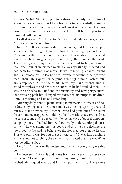sion nor Nobel Prize in Psychology theory. It is only the outline of a personal experience that I have been sharing successfully through my training with numerous clients with great achievement. The purpose of this part is not for you to meet yourself but for you to be reunited with yourself.

I called it the F.A.C.T. Factor Strategy. It stands for Forgiveness, Attitude, Courage and Time.

July 1998. It was a sunny day, I remember, and Life was simple; somehow interesting but not fulfilling. I was taking a piano lesson. My grandmother was a piano teacher and I have always considered that music has a magical aspect: something that touches the heart. The meetings with my piano teacher turned out to be much more than one hour of music per week. He was spiritually initiated and had been for a number of years. He was practicing Japanese sword and its philosophy. He learnt from spiritually advanced beings who made their Life a quest for happiness through a more Eastern religious approach. At the age of 30, Henri, my piano teacher, understood metaphysics and obscure sciences, as he had studied them. He was the one who initiated me in spirituality and new perspectives. Our crossing path has changed my existence, its purpose, its direction, its meaning and its understanding.

After my daily hour of piano, trying to memorize the piece and coordinate my fingers at the same time, I was picking up my purse and put my coat on when my "teacher," who had gone out of the room for a moment, reappeared holding a book. Without a word, at first, he gave it to me and as I read the title I felt a wave of goosebumps envelop my body. I thanked him, without really understanding the reason why he was giving me this book, and as if he were deciphering my thoughts, he said: "I believe we did not meet for a piano lesson. This was only a way for you to get on the path." It was like watching a movie and not catching the element that created the mystery. What was he talking about?

I replied, " I don't really understand. Why are you giving me this book?"

He answered, " Read it and come back next week—I believe you will know." I simply put the book in my purse, thanked him again, wished him a good week, and left his apartment. It took me three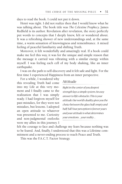days to read the book. I could not put it down.

Henri was right. I did not realize then that I would know what he was talking about. The book title was *The Celestine Prophecy.* James Redfield is its author. Revelation after revelation, the story perfectly put words to concepts that I deeply knew, felt or wondered about. It was a refreshing shower of new understandings and, at the same time, a warm sensation of knowingness and remembrance. A mixed feeling of peaceful familiarity and shifting Truth.

Moreover, it felt wonderfully and amazingly real. If a book could make me feel this way, it was for the unique and simple reason that the message it carried was vibrating with a similar energy within myself. I was feeling each cell of my body shaking, like an inner earthquake.

I was on the path to self-discovery and it felt safe and light. For the first time I experienced Happiness from an inner perspective.

For a while, I wondered why this revealing Truth had come into my Life at this very moment and I finally came to the realization that I was simply ready. I had forgiven myself for past mistakes, for they were not mistakes, but lessons. I adopted an open attitude to whatever was presented to me. Curiosity and non-judgmental outlooks were my allies in this journey. I

# Attitude

*Right in the center of you deepest strength lays a simple system. An easy answer to life's obstacles. This is your attitude. Our world's duality gives you the choice between the glass half-empty and half-full. Your perception is forever yours and your attitude is what determines your emotions. . .your reality. . .*

felt the courage to face and challenge my fears because nothing was to be feared. And, finally, I understood that this was a Lifetime commitment and a never-ending process to reach Peace and Truth.

This was the F.A.C.T. Factor Strategy.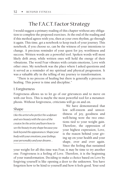# The F.A.C.T. Factor Strategy

I would suggest a primary reading of this chapter without any obligation to complete the proposed exercises. At the end of the reading and if this method agrees with you, then at your own rhythm, go through it again. This time, get a notebook to keep track of your journey. This notebook, if you choose so, can be the witness of your intentions to change. A precious reminder of your quest for joy, worthiness and success. Written words are a powerful tool. Spoken words will most likely drift away, while written ones will hold the energy of their vibrations. The word Fear vibrates with certain emotions, Love with other ones. My notebook was the place where I asked questions and it served as a reminder of my spiritual and physical progression. It was a valuable ally in the telling of my journey to transformation.

"There is no process of healing but there is generally a process in healing. This power is time and discipline."

## 1. Forgiveness

Forgiveness allows us to let go of our grievances and to move on with our lives. This is maybe the most powerful tool for a metamorphosis. Without forgiveness, criticisms will go on and on.

## Shape

*Like the artist who perfect his sculpture and sees beauty with the eyes of the creator, be the artist and learn how to see the beauty in any shape because you look beyond the appearances. Shape your body with your emotions, your feelings, your personality and your dreams. . .*

We have demonstrated that low self-esteem and unworthiness of joy, goodness and well-being were the two emotions tied to your weight gain. Therefore, the oppression of your highest expression, Love, is the reason behind your giving up on your health and your shape, over and over again. Since the feeling that sustained

your weight for all this time was Fear, it may be time to try another one. Forgiveness is a feeling of Love. Therefore, it is the beginning of your transformation. Deciding to make a choice based on Love by forgiving yourself is like opening a door to the unknown. You have forgotten how to be kind to yourself and how it feels good. Your soul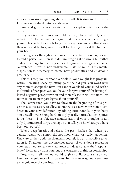urges you to stop forgetting about yourself. It is time to claim your Life back with the dignity you deserve.

Love and guilt cannot coexist, and to accept one is to deny the other.

Do you wish to renounce your old habits (unbalanced diet, lack of activity ...)? To renounce is to agree that this experience is no longer yours. This body does not belong to you anymore. Accept that it was, then release it by forgiving yourself for having crossed the limits to your health.

Healing goes through acceptance. In acceptance, one agrees not to find a particular interest in determining right or wrong but rather dedicates energy to resolving issues. Forgiveness brings acceptance. Acceptance means a non-judgmental state of mind. This mental disposition is necessary to create new possibilities and envision a greater self.

This is a step you cannot overlook in your weight loss program; without creating space by letting go of the old you, you won't have any room to accept the new. You cannot overload your mind with a multitude of perspectives. You have to forgive yourself for having allowed negative perspectives in and then release them. You need this room to create new paradigms about yourself.

The compassion you have to show in the beginning of this process is also necessary to allow tolerance, as a new expression to embrace in your new definition. By adding extra pounds to your body, you actually were being hard on it physically (articulations, spines, joints, heart). This objective manifestation of your thoughts is not only dysfunctional for your shape but it tells you how hard you have been on yourself.

Take a deep breath and release the past. Realize that when you gained weight, you simply did not know what was really happening. Unaware of the subtle mechanisms, you felt it was impossible to act upon it. Therefore, the unconscious aspect of your doing represents your reason not to have reacted. And so, it does not take the "responsibility" factor away from you, but the awareness of this responsibility.

Forgive yourself like you would forgive a child because he did not listen to the guidance of his parents. In the same way, you were mute to he guidance of your intuitive part.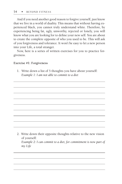And if you need another good reason to forgive yourself, just know that we live in a world of duality. This means that without having experienced black, you cannot truly understand white. Therefore, by experiencing being fat, ugly, unworthy, rejected or lonely, you will know what you are looking for to define your new self. You are about to create the complete opposite of who you used to be. This will ask of you forgiveness and tolerance. It won't be easy to let a new person into your Life, a total stranger.

Now, here is a series of written exercises for you to practice forgiveness.

#### **Exercise #1: Forgiveness**

1. Write down a list of 5 thoughts you have about yourself:  *Example 1: I am not able to commit to a diet*

2. Write down their opposite thoughts relative to the new vision of yourself:  *Example 2: I can commit to a diet, for commitment is now part of my Life*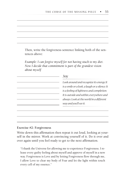Then, write the forgiveness sentence linking both of the sentences above:  *Example: I can forgive myself for not having stuck to my diet.*

*Now I decide that commitment is part of the grandest vision about myself*

| Look around and recognize its energy. It<br>is a smile or a look, a laugh or a silence. It<br>is a feeling of lightness and completion.<br>It is outside and within, everywhere and<br>always. Look at the world in a different<br>way and you'll see it. |
|-----------------------------------------------------------------------------------------------------------------------------------------------------------------------------------------------------------------------------------------------------------|
|                                                                                                                                                                                                                                                           |
|                                                                                                                                                                                                                                                           |
|                                                                                                                                                                                                                                                           |

#### **Exercise #2: Forgiveness**

Write down this affirmation then repeat it out loud, looking at yourself in the mirror. Work at convincing yourself of it. Do it over and over again until you feel ready to get to the next affirmation.

"I thank the Universe for allowing me to experience Forgiveness. I release every guilty feeling about myself and approve of myself in a new way. Forgiveness is Love and by letting Forgiveness flow through me, I allow Love to clear my body of Fear and let the light within touch every cell of my essence."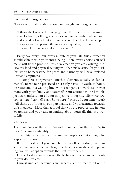#### **Exercise #3: Forgiveness**

Now write this affirmation about your weight and Forgiveness:

"I thank the Universe for bringing to me the experience of Forgiveness. I allow myself forgiveness for choosing the path of obesity to understand lack of self-esteem. I understood. Therefore, I now accept to experience its opposite through a healthy Lifestyle. I nurture my body with Love and my soul with awareness."

Every day, every hour, every minute of your Life, this affirmation should vibrate with your entire being. Then, every choice you will make will fit the profile of this new creation you are evolving into. Healthy food and physical activity will then make sense for you. Effort won't be necessary, for peace and harmony will have replaced Fear and emptiness.

To complete Forgiveness, another element, equally as fundamental, needs to be practiced on a daily basis. At work, at home, on vacation, in a waiting line, with strangers, co-workers or even more with your family and yourself. Your attitude is the first objective manifestation of your subjective thoughts. *"Show me how you act and I can tell you who you are."* Most of your inner work will shine out through your personality and your attitude towards Life in general. More than a proof that you are progressing in your awareness and your understanding about yourself, this is a way of Life.

#### Attitude

The etymology of the word "attitude" comes from the Latin "aptitude," meaning suitability.

Suitability is the quality of having the properties that are right for a specific purpose.

If the deepest belief you have about yourself is negative, unenthusiastic, unconstructive, helpless, downbeat, pessimistic and depressing, you will adopt an attitude that suits your belief.

Low self-esteem occurs when the feeling of unworthiness prevails in your deepest core.

Unworthiness of happiness and success is the direct result of the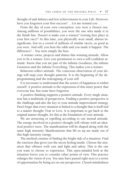thought of task failures and low achievements in your Life. However, have you forgotten your first success? ... Let me remind you ...

From the day of your own conception, you were a chosen one. Among millions of possibilities, you were the one who made it to the finish line. Doesn't it make you a winner? Getting first place at your first race?! At this time, you physically were small, almost insignificant, lost in a crowd of millions of similar racers, as good as you were. And still, you beat the odds and you made it happen. The difference?... You were simply the best.

 A winner owns, projects and shines this winning attitude. Allow you to be a winner. Give you permission to own a self-confident attitude. Know that you are part of the infinite Goodness, the infinite Greatness and the infinite Everything. This makes you a winner.

Behaviors reflect attitude. The conscious observation of your doings will map your thought patterns. It is the beginning of the deprogramming and the redesigning of your self.

It is necessary to understand that the source of happiness is within oneself. A positive attitude is the expression of this inner power that everyone has, but some have forgotten.

A positive thinking supports a positive attitude. Every single situation has a multitude of perspectives. Finding a positive perspective is the challenge and also the key to your attitude improvement strategy. Don't forget that every situation is linked to a thought that is itself tied to a master thought: Fear or Love. It is important to get back to the original master thought, for this is the foundation of your attitude.

We are attracting or repelling according to our mental attitude. The energy involved in a positive thought will vibrate with an identical positive wave. The manifestation will be shaped along with the same high intensity. Manifestations that lift us up are made out of this high intensity energy.

The method consists of finding the bright side of a situation. Find the emotion that gives you the nicest feeling inside. Choose the situation that vibrates with care and light and safety. This is the one you want to choose to experience. This open-minded look at the situation forces you to consider other points of view. This practice enlarges the vision of you. You may have passed right next to a series of opportunities by being set on one perspective. Closed-mindedness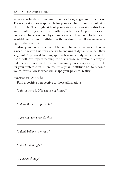serves absolutely no purpose. It serves Fear, anger and loneliness. These emotions are responsible for your weight gain or the dark side of your Life. The bright side of your existence is awaiting this Fear and it will bring a box filled with opportunities. Opportunities are favorable chances offered by circumstances. These good fortunes are available to everyone. Attitude is the medium that allows us to recognize them or not.

Also, your body is activated by and channels energies. There is a need to revive this very energy by making it dynamic rather than stagnant. A physical training approach is mostly dynamic; even the use of soft low-impact techniques or even yoga, relaxation is a way to put energy in motion. The more dynamic your energies are, the better your systems run. Therefore this dynamic attitude has to become yours, for its flow is what will shape your physical reality.

#### **Exercise #1: Attitude**

Find a positive perspective to those affirmations:

*"I think there is 20% chance of failure"*

*"I don't think it is possible"*

*"I am not sure I can do this"*

*"I don't believe in myself"*

*"I am fat and ugly"*

*"I cannot change"*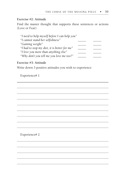## **Exercise #2: Attitude**

Find the master thought that supports these sentences or actions (Love or Fear).

| "I need to help myself before I can help you" |  |
|-----------------------------------------------|--|
| "I cannot stand her selfishness"              |  |
| "Gaining weight"                              |  |
| "I had to stop my diet, it is better for me"  |  |
| "I love you more than anything else"          |  |
| "Why don't you tell me you love me too?"      |  |

## **Exercise #3: Attitude**

Write down 3 positive attitudes you wish to experience:

Experience# 1

Experience# 2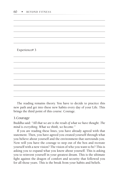Experience# 3

The reading remains theory. You have to decide to practice this new path and get into these new habits every day of your Life. This brings the third point of this course: Courage.

## 3. Courage

Buddha said: *"All that we are is the result of what we have thought. The mind is everything. What we think, we become."*

If you are reading these lines, you have already agreed with that statement. Then, you have agreed you created yourself through what you believe about yourself and the environment that surrounds you. Now will you have the courage to step out of the box and recreate yourself with a new vision? The vision of who you want to be? This is asking you to expand what you know about yourself. This is asking you to reinvent yourself in your greatest dream. This is the ultimate fight against the dragon of comfort and security that followed you for all those years. This is the break from your habits and beliefs.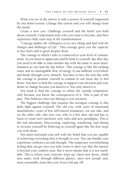What you see in the mirror is only a notion of yourself supported by one belief system. Change this system and you will change from the inside.

Create a new you. Challenge yourself and the belief you hold about yourself. Understand truly who you want to become, and then experience fully each step of the transformation.

*"Courage implies the willingness to try new things and deal with the changes and challenges of Life."* This courage gives you the capacity to face fears and to grow despite them.

The courage to which I refer is connected to your level of commitment. As you learn to appreciate and be kind to yourself, day after day, you need to be able to start another day with the same or more determination as you had the day before. This courage is like the rushing water and its unstoppable flow of energy. It can infiltrate everywhere and break through every obstacle. You have to face the new day with the courage to promise yourself to commit to one more day to feel better. You have to find the courage to support your decision and your desire to change because you deserve it. You truly deserve it.

You need to find the courage to refuse the outside temptation, only because you know the consequences of it. This is part of the past. This behavior does not belong to you anymore.

The biggest challenge that requires the strongest courage is this daily fight against yourself. The old you, with years of emotional attachments—years of low self-esteem treatment—on one side, and on the other side, this new you, who is a few days old and has to learn to create new emotions, new rules and new paradigms. This is the real adventure: Discovering, exploring, wandering, and daring to recreate yourself by believing in yourself again like the first steps you took alone.

You must surround your self with the belief that you are capable of achieving everything that is brought to you. You can handle your experience without a second thought. The temporary overwhelming feeling that can get into you only exists to alert you that the answer is beyond your comfort zone. But it never means that it is not reachable. This is where your curiosity steps up. Open new doors, climb new stairs, look through different glasses, meet new people and, most essentially, trust that your focus will pay off.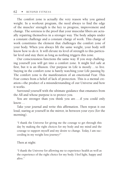The comfort zone is actually the very reason why you gained weight. In a workout program, the need always to find the edge of the muscles' strength is the key to progress, improvement and change. The soreness is the proof that your muscular fibers are actually repairing themselves in a stronger way. The body adapts under a constant challenge and a constant charge of work. This charge of work constitutes the element that challenges the comfort zone of your body. When you always lift the same weight, your body will know how to do it. It will elevate its level of strength to this particular level and stay there as long as nothing triggers this zone.

Our consciousness functions the same way. If you stop challenging yourself you will get into a comfort zone. It might feel safe at first, but it is an illusion. Our purpose in Life is mostly ...to live. Staying in the comfort zone is barely watching your Life passing by. The comfort zone is the manifestation of an emotional Fear. This Fear comes from a belief of lack of protection. This is a mental creation—the product of a misunderstanding of our Universe and how it works.

Surround yourself with the ultimate guidance that emanates from the All and whose purpose is to protect you.

You are stronger than you think you are .... if you could only know...

Take your journal and write this affirmation. Then repeat it out loud, staring at yourself in the mirror, in between your eyes (for the morning).

"I thank the Universe for giving me the courage to get through this day by making the right choices for my body and my mind and the courage to support myself and my desire to change. Today, I am succeeding in my weight loss journey!"

Then at night:

"I thank the Universe for allowing me to experience health as well as the experience of the right choice for my body. I feel light, happy and alive."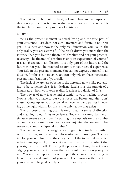The last factor, but not the least, is Time. There are two aspects of this concept: the first is time as the present moment; the second is the indefinite continued progress of existence.

#### 4. Time

Time as the present moment is actual living and the true part of your existence. Past does not exist anymore and future is not here yet. Thus, here and now is the only real dimension you live in, the only reality you are aware of. If the result drives you more than the journey, then you live in a theoretical absolute and not your practical relativity. The theoretical absolute is only an expectation of yourself. It is an abstraction, an illusion. It is only part of the future and the future is not yet. The practical relativity is your actual experience: Your Life in the present moment. You cannot express yourself in an illusion, for this is not reliable. You can only rely on the concrete and present manifestation of your self.

The lack of awareness of being in the here and now is like pretending to be someone else. It is idealism. Idealism is the pursuit of a fantasy away from your own reality. Idealism is a denial of Life.

The power of now is true and essential to your healing process. Now is what you have to put your focus on. Before and after don't matter. Contemplate your personal achievement and persist in looking at the light within, for this is the only reality that exists.

The purpose of setting goals is only to add a sense of direction and meaning to our Life's experience. However, it cannot be the ultimate element to consider. By putting the emphasis on the number of pounds you want to lose, you are not enjoying the journey in between now and the "special number."

The enjoyment of the weight-loss program is actually the path of transformation, and its load of information to improve you. The caring for your self, first, and the enjoyment of the tools to do so (diet, activity, massages, etc) represent the main part of the contract that you sign with yourself. Enjoying the process of change by acknowledging your new reality means that you want to focus on your journey. You want to experience each step of the change. Each change is linked to a new definition of your self. The journey is the reality of your change. The goal is only a future image of you.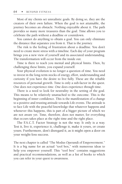Most of my clients set unrealistic goals. By doing so, they are the creators of their own failure. When the goal is not attainable, the journey becomes an obstacle. Nothing enjoyable about it. The path provides so many more treasures than the goal. Time allows you to celebrate the path without a deadline or countdown.

You cannot do anything to obtain a goal. You can only eliminate the distance that separates you from it. That is the journey.

The risk is the feeling of frustration about a deadline. You don't need to create more stress with a timeline. Each day of your program brings you a new view of yourself and its associated understanding. The transformation will occur from the inside out.

Time is there to teach you mental and physical limits. Then, by challenging these limits, you expand yourself.

Your physical evolution is no longer a question of time. You need to invest in the long-term stocks of energy, effort, understanding and curiosity if you have the desire to live fully. These are the reliable resources of personal growth. Time is only a sub-factor in the quest. One does not experience *time*. One does experience *through* time.

There is a need to look for neutrality in the setting of the goal. This means to be relatively unattached to the outcome. This is the beginning of inner confidence. This is the manifestation of a change to a positive and trusting attitude towards Life events. The attitude is to face Life with the peaceful knowledge that whatever happens and whenever this happens, this is part of a bigger picture of which we are not aware yet. Time, therefore, does not matter, for everything that occurs takes place at the right time and the right place.

The F.A.C.T. Factor Strategy is not the way. It only is *a* way. Test it, live it, experience it, challenge it, make it yours, or create yours. Furthermore, don't disregard it, as it might open a door on your weight-loss success.

The next chapter is called "The Modus Operandi of Empowerment." It is a big name for an actual "tool box," with numerous ideas to help you empower yourself. This "tool box" contains suggestions and practical recommendations, as well as a list of books to which you can refer in your quest to awareness.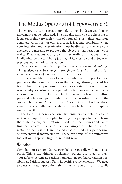# The Modus Operandi of Empowerment

The energy we use to create our Life cannot be destroyed, but its movement can be redirected. The new direction you are choosing to focus on is this very high vision of yourself. This lighter and more complete version is not only a dream; it is a true possibility where your intention and determination must be directed and where your energies are merging to produce the objective manifestation—your reality. Dream about your growth, then really think about it, and finally observe the unfolding journey of its creation and enjoy each precious moment of its realization.

*"Memory constitutes the subjective tendency of the individual Life. This tendency can be changed through constant effort and a determined persistence of purpose." -* Ernest Holmes.

If one takes his images of thought only from his previous experiences, then one continues in the bondage through the addiction, which these previous experiences create. This is the basic reason why we observe a repeated pattern in our behaviors or a consistency in our Life events: The same endless unfulfilling personal relationships, the identical non-rewarding jobs, or the overwhelming and "uncontrollable" weight gain. Each of these situations is actually controllable and avoidable if the principle is used correctly.

The following non-exhaustive list enumerates techniques and methods people have adopted to bring new perspectives and bring their Life to a higher vibration. I used these techniques and I went from being a crawling caterpillar to a flying colorful butterfly. This metamorphosis is not an isolated case defined as a paranormal or supernatural manifestation. These are some of the numerous tools at our disposal. Right here, right now...

#### $\odot$  Faith:

Complete trust or confidence. Firm belief, especially without logical proof. This is the ultimate implement you can use to get through your Life's experiences. Faith in you, Faith in goodness, Faith in possibilities, Faith in success, Faith in positive achievements...We need to trust without expectations that whatever you ask for is actually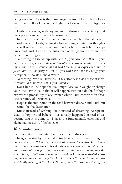being answered. Fear is the actual negative use of Faith. Bring Faith within and follow Love as the Light. Let Fear out, for it misguides us.

Faith is knowing with joyous and enthusiastic expectancy that one's prayers are automatically answered.

In order to have Faith, we must have a conviction that all is well. In order to keep Faith, we must allow nothing to enter our thoughts that will weaken this conviction. Faith is built from beliefs, acceptance and trust. Faith is the substance of things hoped for and the evidence of things not seen.

According to Friendship with God: *"If you have Faith that all your needs will always be met, then, technically, you have no needs at all. And this is the Truth, of course, and it will become your experience, and so your Faith will be justified. Yet, all you will have done is change your perception*." - Neale Donald Walsh.

According David R. Hawkins: *"The Universe is man's consciousness. It requires a comprehension beyond intellect."*

Don't live in the hope that you might lose your weight or change your Life. Live in Faith that it will happen without a doubt, for hope expresses a probability of occurrence where Faith expresses an absolute certainty of occurrence.

Hope is the mid-point on the road between despair and Faith but it cannot be the destination.

Know instead of wishing. State instead of dreaming. Accept instead of hoping and believe it has already happened instead of expecting that it is going to. That is the fundamental, essential and elemental mastery of the believer.

## $\odot$  Visualizations

Pictures visible to the mind but not visible to the eyes.

Images created by the mind actually seem real... According the book and movie *What The Bleep Do We Know?: "Scientists have found that if they measure the electrical output of a person's brain while they are looking at an object, and then again while they are imagining the same object, in both cases the same areas of the brain are activated. Closing the eyes and visualizing the object produces the same brain patterns as actually looking at the object. Not only does the brain not distinguish*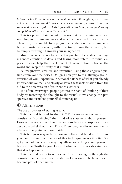*between what it sees in its environment and what it imagines, it also does not seem to know the difference between an action performed and the same action visualized .... This information has been put to good use by competitive athletes around the world."*

This is a powerful statement. It means that by imagining what you wish for, your brain analyzes and accepts it as a part of your reality. Therefore, it is possible to deprogram an addiction to a certain emotion and install a new one, without actually living the situation, but by simply creating it through your imagination.

Mindfulness is the key to perfect the practice of visualization. Paying more attention to details and taking more interest in visual experiences can help the development of visualization. Observe the world and keep the beauty of it in mind.

Be imaginative, creative and inventive, using these engraved pictures from your memories. Design a new you by visualizing a grander vision of you. Expand your personal database of what you already know about yourself and slowly observe the transformation from the old to the new version of your entire existence.

Too often, overweight people get into the habit of thinking of their body by matching the thought to the visual. Now, change the perspective and visualize yourself slimmer again.

### $\odot$  Affirmations:

The act or process of stating as a fact.

This method is used in the F.A.C.T. Factor exercises section. It consists of "convincing" the mind of a statement about yourself. However, every one of these declarations has to be supported by a deep core belief about their Truth. Therefore, no affirmation is actually worth anything without Faith.

This is a great way to learn how to believe and build up Faith. As you can imagine, the practice of this technique makes it better. So, get your notebook and every day affirm something about yourself, bring a new Truth to your Life and observe the clues showing you that it is happening.

This method tends to replace one's old paradigms through the consistent and conscious affirmations of new ones. The belief has to become part of one's nature.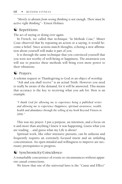*"Merely to abstain from wrong thinking is not enough. There must be active right thinking" -* Ernest Holmes

### $\odot$  Repetitions:

The act of saying or doing over again.

In French, we called that technique "*la Methode Coue;*" Mister Coue observed that by repeating an action or a saying, it would become a belief. Since actions match thoughts, echoing a new affirmation about yourself will make it part of you.

It is through the same technique that you convinced yourself that you were not worthy of well-being or happiness. The awareness you will use to practice these methods will bring even more power to their vibrations.

## $\odot$  Prayers:

A solemn request or Thanksgiving to God or an object of worship.

*"Ask and you shall receive"* is an actual Truth. However you need to really be aware of the demand, for it will be answered. This means that accuracy is the key to receiving what you ask for. Here is an example:

*"I thank God for allowing me to experience being a published writer and allowing me to experience Happiness, spiritual awareness, wealth, health and abundance through the selling of my book* Beyond Fitness *in 2006."*

This was my prayer. I put a purpose, an intention, and a focus on it and more than anything I knew it was happening*.* Guess what you are reading ... and guess what my Life is about!

Spiritual work, like other intensive pursuits, can be arduous and frequently requires an extremely focused intent and an unfailing concentration. An open-minded and willingness to improve are necessary prerequisites to progress.

## $\odot$  Synchronicity/Coincidence:

A remarkable concurrence of events or circumstances without apparent causal connections.

We know that one of the universal laws is the "Cause and Effect"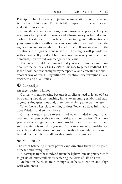Principle. Therefore every objective manifestation has a cause and is an effect of its cause. The invisibility aspect of an event does not make it non-existent.

Coincidences are actually signs and answers to prayers. They are responses to repeated questions and affirmations you have declared earlier. This shows the importance of practicing your affirmations or your visualizations with a conscious intention. You will notice the signs when you know where to look for them. If you are aware of the questions, the signs will make sense. These signs will provide you with answers. If you don't have any awareness of your wishes and demands, how would you recognize the signs?

The book I would recommend that you read to understand more about coincidences is *The Celestine Prophecy* by James Redfield. This is the book that first changed my perspective and educated me about another way of living ...by intuition. Synchronicity surrounds us everywhere and at all times.

#### $\bullet$  Curiosity:

An eager desire to know.

Curiosity is empowering because it implies a need to let go of Fear by opening new doors, pushing limits, overcoming established paradigms, asking questions and, therefore, wishing to expand oneself.

When Love takes place within, so does Power, so does Infinite, so does Wisdom and so does Peace.

Curiosity means to be tolerant and open-minded enough to accept another perspective without critique or comparison. The more perspectives you gather, the more possibilities you are aware of and so the easier it is to define yourself. You can know what enables you to evolve and what does not. You can truly choose who you want to be and live the Life that allows this particular existence.

#### $\odot$  Meditation

The art of balancing mental powers and directing them onto a point of peace and tranquility.

It is a way to free the mind and attain the light within. Its practice tends to get rid of inner conflicts by centering the focus of Life on Love.

Meditation helps to train thoughts, refocus attention and align with wholeness.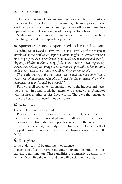The development of Love-related qualities is what meditation's practice seeks to develop. Thus, compassion, tolerance, peacefulness, kindness, patience and understanding towards others and ourselves represent the actual components of one's quest for a better Life.

Meditation, done consistently and with commitment, can be a Life-changing and Life-expanding practice.

### $\bullet$  Sponsor/Mentor:An experienced and trusted advisor.

According to Dr David R.Hawkins: *"In sport, great coaches are sought after because their influence inspires maximum effort. A devotee can abet his own progress by merely focusing on an advanced teacher and thereby aligning with that teacher's energy field. In our testing, it was repeatedly shown that holding the image of an advanced spiritual teacher in mind made every subject go strong, regardless of his or her beliefs.*

*This is illustrative of the instrumentation where the newcomer from a lesser level of awareness, who places himself in the influence of a higher awareness, is transformed 'by osmosis'."*

Find yourself someone who inspires you to the highest and keeping this icon in mind for his/her energy will elevate yours. A mentor who inspires another carries Love within: The Love that emanates from the heart. A sponsor's motive is pure.

#### $\odot$  Relaxation:

The act of becoming less rigid.

Relaxation is synonymous with recreation, rest, leisure, amusement, entertainment, fun and pleasure. It allows you to take some time away from frustrations and practice an activity that relaxes you. By relaxing the mind, the body can detoxify and cleanse itself of trapped toxins. Energy can easily flow and bring a sensation of wellbeing.

#### $\bullet$  Discipline:

Bring under control by training in obedience.

Each step of your program requires motivation, commitment, focus and determination. These qualities are intrinsic qualities of a winner. Discipline the mind and you will discipline the body.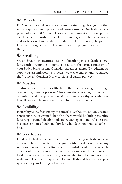## $\odot$  Water Intake:

Dr. Masaru Emoto demonstrated through stunning photographs that water responded to expressions of consciousness. Our body is comprised of about 80% water. Thoughts, then, might affect our physical dimension. Position a sticker on your glass or bottle of water and write a word you wish to vibrate with. For example, Happiness, Love, and Forgiveness... The water will be programmed with this thought.

## $\odot$  Breathing:

We are breathing creatures, first. Not breathing means death. Therefore, cardio-training is important to ensure the correct function of your body's basic system. Consider oxygen as energy. By reducing its supply, its assimilation, its process, we waste energy and we fatigue the "vehicle." Consider 3 to 4 sessions of cardio per week:

## $\odot$  Muscles:

Muscle tissue constitutes 40–50% of the total body weight. Through contraction, muscles perform 3 basic functions: motion, maintenance of posture, and heat production. Maintaining a healthy muscular system allows us to be independent and free from neediness.

## $\odot$  Flexibility:

Flexibility is the first quality of a muscle. Without it, not only would contraction be restrained, but also there would be little possibility for strength gain. A flexible body reflects an open mind. What is rigid becomes a point of vulnerability, for what does not bend is liable to break.

## $\odot$  Food Intake:

Food is the fuel of the body. When you consider your body as a creative temple and a vehicle to the guide within, it does not make any sense to destroy it by feeding it with an unbalanced diet. A sensible diet should be a balanced diet with an awareness of the choice of food. By observing your choice, you are able to detect an emotional addiction. The new perspective of yourself should bring a new perspective on your feeding behaviors.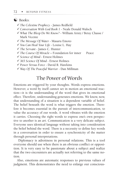#### $\odot$  Books:

- *The Celestine Prophecy* James Redfield
- *Conversation With God Book 1* Neale Donald Walsch
- *What The Bleep Do We Know?* William Arntz / Betsy Chasse / Mark Vicente
- *The Message Of Water* Masaru Emoto
- *You Can Heal Your Life* Louise L. Hay
- *The Servant* James C. Hunter
- *The Course Of Miracle* Foundation for inner Peace
- *Science of Mind* Ernest Holmes
- *365 Science Of Mind* Ernest Holmes
- *Power Versus Force -* David R. Hawkins
- *Way Of The Peaceful Warrior -* Dan Millman

## The Power of Words

Emotions are triggered by your thoughts. Words express emotions. However, a word by itself cannot set in motion an emotional reaction—it is the understanding of the word that gives its emotional effect. Therefore, understanding generates emotions. We know, now, that understanding of a situation is a dependent variable of belief. The belief beneath the word is what triggers the emotion. Therefore it becomes essential in the pursuit of intercommunication, to value the accuracy of our words. A word vibrates with the emotion it carries. Choosing the right words to express one's own perspective to another is an *art*. Communication is a very delicate subject. Everyone uses identical language without taking into consideration the belief behind the word. There is a necessity to define key words in a conversation in order to ensure a synchronicity of the matter through personal interpretations.

Diplomacy is adroitness in personal relations. This is a tool everyone should use when there is an obvious conflict or opposition. It is very easy to be passionate about a subject and realize that the two encounters are actually not referring to the same notion.

Also, emotions are automatic responses to previous values of judgment. This demonstrates the need to enlarge our conscious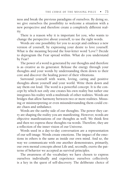ness and break the previous paradigms of ourselves. By doing so, we give ourselves the possibility to welcome a situation with a new perspective and therefore create a completely different reality.

There is a reason why it is important for you, who wants to change the perspective about yourself, to use the right words.

Words are one possibility for you to accept and embrace a new version of yourself, by expressing your desire to love yourself. What is the meaning beyond the four-letter word 'Love'? Decide to deprogram the Fear spread within. What do you understand by Fear?

The power of a word is generated by our thoughts and therefore is as creative as its generator. Release the energy through your thoughts and your words by understanding them down to their core and discover the healing power of their vibrations.

Surround yourself with warm, loving, caring and positive thoughts about yourself and your world. Write them down and say them out loud. The word is a powerful concept. It is the concept by which not only one creates his own reality but rather one integrates his reality with a multitude of other realities. Words are bridges that allow harmony between two or more realities. Misusing or misinterpreting or even misunderstanding them could create chaos and unbalance.

Words are the earthy side of our thoughts. The power they carry are shaping the reality you are manifesting. However, words are objective manifestations of our thoughts as well. We think first and then we express these thoughts via words. Therefore, they are a reflection of the inner vision of our Universe.

Words used in a day-to-day conversation are a representation of our self-image. Words create emotions. The impact of the emotions in others is the same as inside our own mind. And so, the way we communicate with one another demonstrates, primarily, our own mental concepts about Life and, secondly, exerts the patterns of behavior we accepted as survival principles.

The awareness of the vocabulary we have chosen to express ourselves individually and experience ourselves collectively is a key in the quest of self-discovery. The deliberate choice of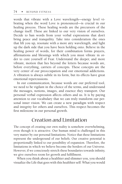words that vibrate with a Love wavelength—energy level vibrating when the word Love is pronounced—is crucial in our healing process. These healing words are the precursors of the change itself. These are linked to our very vision of ourselves. Decide to ban words from your verbal expressions that don't bring peace and tranquility. Take into consideration the ones that lift you up, resonate with a more airy wavelength, and light up the dark side that you have been holding onto. Believe in the healing power of words, for their combination forms prayers, affirmations and blessings with which you must vibrate in order to cure yourself of Fear. Understand the deeper, and more vibrant, motion that lies beyond the letters because words are, before everything, carriers of concepts. These concepts are the very center of our preoccupation and our emotional addictions. A vibration is always subtle in its form, but its effects have great emotional repercussions.

In our communication, because words are our preferred tool, we need to be vigilant in the choice of the terms, and understand the messages, notions, images, and essence they transport. Our personal verbal expression affects others and us. It is by paying attention to our vocabulary that we can truly transform our personal inner vision. We can create a new paradigm with respect and integrity for others and ourselves. This respect becomes the first milestone in our personal growth.

## Creation and Limitation

The concept of creating our own reality is somehow overwhelming, even though it is attractive. Our human mind is challenged in this very matter by our personal limitations. Notice that these limitations represent the underground of our beliefs. Our creative potential is proportionally linked to our possibility of expansion. Therefore, the limitations in which we believe become the borders of our Universe. However, if we consciously stretch these boundaries towards infinity, we give ourselves room for growth and fulfillment.

When you think about a healthier and slimmer you, you should visualize the Life that goes with this healthier self: What you would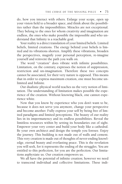do, how you interact with others. Enlarge your scope, open up your vision field to a broader space, and think about the possibilities rather than the impossibilities. Miracles are not exceptional. They belong to the ones for whom creativity and imagination are endless, the ones who make possible the impossible and who understand that Infinity is a reachable goal.

Your reality is a direct translation of your limited beliefs. Limited beliefs, limited creations. The energy behind your beliefs is limited and its vibrations shorten. Amplify these vibrations, broaden the perspectives, magnify your personal perception, re-imagine yourself and reinvent the path you walk on.

The word "creation" does vibrate with infinite possibilities. Limitation, on the contrary, expresses the notion of suppression, restriction and un-imagination. Therefore these two concepts cannot be associated, for their very nature is opposed. This means that in order to express maximum creation, one must become unlimited and Infinite.

Our dualistic physical world teaches us the very notion of limitation. The understanding of limitation makes possible the experience of the creation. Without knowing black, one cannot experience white.

Now that you know by experience who you don't want to be, because it does not serve you anymore, change your perspective and become another. Fully express your self by being free of limited paradigms and limited perceptions. The beauty of our reality lies in its impermanency and its endless possibilities. Reveal the limitless resources within by setting its boundaries out of sight. Empower your very center and build your body like a cathedral. Be your own architect and design the temple you foresee. Enjoy the journey. This building is not made out of walls and cement. This very creation is made out of thoughts of never-ending knowledge, eternal beauty and everlasting peace. This is the revelation you will seek, for it represents the ending of the struggles. You are entitled to this perfection, for you are the perfection. Our limitations asphyxiate us. Our creation empowers us.

We all have the potential of infinite creation; however we need to transcend individual and collective limitations. These indi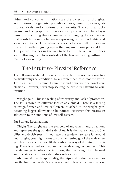vidual and collective limitations are the collection of thoughts, assumptions, judgments, prejudices, laws, morality, values, attitudes, ideals, and emotions of a fraternity. The culture, background and geographic influences are all parameters of belief systems. Transcending these elements is challenging, for we have to find a subtle harmony between expressing our individuality and social acceptance. This balance allows us to peacefully interact in our world without giving up on the purpose of our personal Life. The journey teaches us the way to be Faithful to our self. It does so by allowing us to look outside of the box and acting within the realm of awakening.

# The Intuitive/ Physical Reference

The following material explains the possible subconscious cause to a particular physical condition. Never forget that this is not the Truth. This is *a* Truth. It is mine. Examine it and draw your personal conclusions. However, never stop seeking the cause by listening to your intuition.

**Weight gain:** This is a feeling of insecurity and lack of protection. The fat is stored in different locales as a shield. There is a feeling of insignificance and low self-esteem attached to the weight gain. Becoming bigger allows us to be noticed. However, this creates an addiction to the emotions of low self-esteem.

#### **Fat Storage Localization:**

**Thighs**:The thighs are the symbols of movement and directions and represent the grounded side of us. It is the male vibration. Stability and decisiveness. If you have the tendency to store fat around your thighs, you might want to consider letting go of the male energy. This male energy most likely leads your way of thinking and acting. There is a need to integrate the female energy of your self. This female energy involves the intuition, the nurturing, the relational and the air element more than the earth element.

**Abdomen/Hips:** In spirituality, the hips and abdomen areas harbor the first three seals. Seals correspond to levels of consciousness.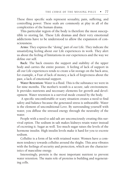These three specific seals represent sexuality, pain, suffering, and controlling power. These seals are commonly at play in all of the complexities of the human drama.

This particular region of the body is therefore the most susceptible to storing fat. These Life dramas and their very emotional addictions have to be understood to allow the expansion of consciousness.

**Arms:** They express the "doing" part of our Life. They indicate the unsatisfying feeling about our Life experiences in work. They alert us about the feeling of limitations in our experiences and the way we define our self.

**Back:** The back ensures the support and stability of the upper body and carries the entire posture. A feeling of lack of support in all our Life experiences tends to create a fat storage on the back area, for example, a Fear of lack of money, a lack of forgiveness about the past, a lack of emotional support.

**Water Retention:** Water is a fluid. This is the substance we were in for nine months. The mother's womb is a secure, safe environment. It provides nutrients and necessary elements for growth and development. Water retention is a survival mode created by the body.

 A specific uncomfortable or scary situation creates a need to find safety and balance because the generated stress is unbearable. Water is the element of unconditional Love. By surrounding yourself with water, you diffuse the stressed energy through the neutrality of the water.

People with a need to add salt are unconsciously creating this survival option. The sodium in salt makes kidneys retain water instead of excreting it. Sugar as well. Too much sugar raises the levels of the hormone insulin. High insulin levels make it hard for you to excrete sodium.

Cellulite is a form of fat with retained water. Women have a common tendency towards cellulite around the thighs. This area vibrates with the feelings of security and protection, which are the characteristics of masculine energy.

Interestingly, protein is the most important nutrient to prevent water retention. The main role of proteins is building and regenerating cells.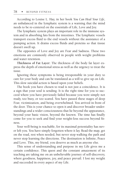According to Louise L. Hay, in her book *You Can Heal Your Life*, an unbalanced in the lymphatic system is a warning that the mind needs to be re-centered on the essentials of Life, Love and Joy.

The lymphatic system plays an important role in the immune system and in absorbing fats from the intestines. The lymphatic vessels transport excess fluid to the end vessels without the assistance of a pumping action. It drains excess fluids and proteins so that tissue doesn't swell up.

The opposites of Love and Joy are Fear and Sadness. These two emotions are commonly observed in people with weight problems and water retention.

**Thickness of Fat Layer:** The thickness of the body fat layer express the depth of emotional stress as well as the urgency to treat the issue.

Ignoring these symptoms is being irresponsible in your duty to care for your body and can be translated as a will to give up on Life. This slow suicidal action is based upon your beliefs.

The book you have chosen to read is not just a coincidence. It is a sign that your soul is sending. It is the right time for you to succeed where you have previously failed because you were simply not ready, too busy, or too scared. You have passed these stages of deep Fear, victimization, and being overwhelmed. You arrived in front of the door. This is your chance to open it and discover broader understandings and a wider consciousness that lie beyond the appearance, beyond your basic vision, beyond the known. The time has finally come for you to seek and find your weight-loss success beyond fitness.

Your well-being is reachable, for its maximal potentiality has never left you. You have simply forgotten where it lay. Read the map, get on the road, rest when needed, but never stop walking the path and never stop learning the directions. The destination is Infinite, Peace and Love. This, my friend, you deserve as much as anyone else.

This sense of understanding and purpose in my Life gives me a certain confidence. This quest and the constant amazement of its teaching are taking me on an unbelievable journey of self-discovery, where goodness, happiness, joy, and peace prevail. I lost my weight and succeeded in every aspect of my Life.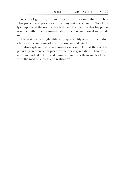Recently I got pregnant and gave birth to a wonderful little boy. That particular experience enlarged my vision even more. Now I fully comprehend the need to teach the next generation that happiness is not a myth. It is not unattainable. It is here and now if we decide so.

The next chapter highlights our responsibility to give our children a better understanding of Life purpose and Life itself.

It also explains that it is through our example that they will be providing an even better place for their next generation. Therefore, it is our individual duty to make sure we empower them and lead them onto the road of success and realization.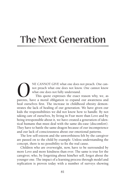# The Next Generation

NE CANNOT GIVE what one does not preach. One cannot know what one does not fully understand. This quote expresses the exact reason why, we, as parents, have a moral obligation to expand our awareness and not preach what one does not know. One cannot know what one does not fully understand. This quote expresses the exact reason why, we, as parents, have a moral obligation to expand our awareness and heal ourselves first. The increase in childhood obesity demonstrates the lack of healing of our generation. We have given our kids the responsibilities we did not know how to handle. By not taking care of ourselves, by living in Fear more than love and by being irresponsible about it, we have created a generation of identical humans that must deal with the same dis-ease (discomfort). They have to battle the same dragon because of our incompetence and our lack of consciousness about our emotional patterns.

The low self-esteem and the unworthiness felt by the caregiver are passed on to the child by example. Unless understanding the concept, there is no possibility to fix the real cause.

Children who are overweight, now, have to be surrounded by more love and more kindness than ever. The same is true for the caregiver, who, by forgetting about him/her self, forgot about the younger one. The impact of a learning process through model and replication is proven today with a number of surveys showing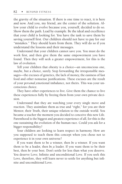the gravity of the situation. If there is one time to react, it is here and now. And you, my friend, are the center of the solution. Allow your child to evolve because you, yourself, decided to do so. Show them the path. Lead by example. Be the ideal and excellence that your child is looking for. You have the task to save them by saving yourself first. Our children should not have to pay for our "mistakes." They should learn from them. They will do so if you understand the lessons and their messages.

Understand that your children cannot save you. You must do the work first, and then give them the same empowerment you have found. Then they will seek a greater empowerment, for this is the law of evolution.

Tell your children that obesity is a choice—an unconscious one, maybe, but a choice, surely. Stop forwarding the irresponsible messages—the excuses of genetics, the lack of money, the easiness of fast food and other nonsense justifications. These excuses are the result of your *personal* emotional imbalance, not theirs. This was your unconscious choice.

They have other experiences to live. Give them the chance to live these experiences fully by freeing them from your own private decision.

Understand that they are watching your every single move and reaction. They assimilate them as true and "right," for you are their Mentor, their Truth, their unique relation to the outside world. You became a teacher the moment you decided to conceive this new Life. Parenthood is the biggest and greatest experience of all, for this is the one sustaining the evolution of the human race. Could you ask for a bigger responsibility?

Your children are looking to learn respect in harmony. How are you supposed to teach them this concept when you chose not to experience it in your own universe?

If you want them to be a winner, then *be* a winner. If you want them to be a leader, then *be* a leader. If you want them to be their best, then *be* your best. Don't settle for less than what you deserve. You deserve Love; Infinite and unconditional Love. If you seek this Love, therefore, they will learn never to settle for anything but infinite and unconditional Love.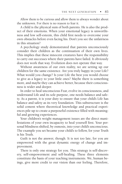Allow them to be curious and allow them to always wonder about the unknown. For there is no reason to fear it.

A child is the physical sum of both parents. He is also the product of their emotions. When your emotional legacy is unworthiness and low self-esteem, this child first needs to overcome your own obstacles before even facing his. Don't you see the unfairness in this situation?

A psychology study demonstrated that parents unconsciously consider their children as the continuation of their own lives. This implies that these innocent creatures have the responsibility to carry out successes where their parents have failed. It obviously does not work that way. Evolution does not operate that way.

Without awareness of our own reality, we are setting up our children for the same existence. Are you truly happy in your Life? What would you change? Is your Life the best you would choose to give as a legacy to your little ones? Maybe there is something more, and maybe they can achieve better, because their consciousness is wider and deeper.

In order to heal unconscious Fear, evolve in consciousness, and understand Life and its sole purpose, one needs balance and safety. As a parent, it is your duty to ensure that your child's Life has balance and safety as its very foundation. This substructure is the solid cement where theoretical knowledge and practical experiences pile up to create a purposeful existence filled with meaningful and growing experiences.

Your children's weight management issues are the direct manifestations of your own incapacity to heal yourself first. Your personal blindness shifted, by osmosis, into your child's unconscious. The example you set became your child's to follow, for your Truth is his Truth.

Guilt is not the answer, though. It is not too late, for you are empowered with the great dynamic energy of change and improvement.

There is only one strategy for you. This strategy is self-discovery, self-empowerment and self-healing. These three elements constitute the basis of your teaching instruments. We, human beings, give more credit to our vision than our feeling. Therefore,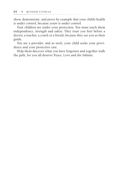show, demonstrate, and prove by example that your child's health is under control, because yours is under control.

Your children are under your protection. You must teach them independence, strength and safety. They trust you first before a doctor, a teacher, a coach or a friend, because they see you as their guide.

You are a provider, and as such, your child seeks your providence and your protective care.

Help them discover what you have forgotten and together walk the path, for you all deserve Peace, Love and the Infinite.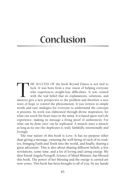# Conclusion

THE SUCCESS OF the book *Beyond Fitness* is not tied to luck. It was born from a true vision of helping everyone who experiences weight-loss difficulties. It was created with the real belief that its explanations, solution luck. it was born from a true vision of helping everyone who experiences weight-loss difficulties. It was created with the real belief that its explanations, solutions, and answers give a new perspective to the problem and therefore a new wave of hope to control the phenomenon. it was written in simple words and easy analogies for everyone to understand the concepts it presents. Its work was elaborated through divine inspiration, for what can touch the heart stays in the mind. It is based upon real Life experience, making its message a living proof of authenticity. For what can be done once can be replicated. A miracle stays a miracle as long as no one else duplicates it, truly, faithfully, intentionally and lovingly.

The true nature of this book is love. it has no purpose other than giving a message, ensuring the well-being of each of its readers, bringing Faith and Truth into the world, and finally, sharing a great adventure. This is also about sharing different beliefs, a few revelations, some time, and a lot of loving and caring energy. My dear friend Angela Peregoff, Science of Mind Minister, has blessed this book. The power of her blessing and the energy it carried are now yours. This book has been brought to all of you, by my hands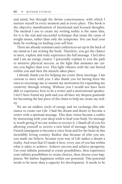and mind, but through the divine consciousness, with which I nurture myself in every moment and at every place. This book is the objective manifestation of intentional and focused thoughts. The method I use to create my writing reality is the same idea, for it is the real and successful technique that treats the cause of weight issues, rather than only the symptoms. You can heal your body by working on healing your self first.

There are already seminars and conferences set up in the back of my mind as I am writing the book. Therefore, you get the chance to meet, explore and truly experience the full message. I feel alive and I am an energy creator. I personally explain to you the path to intuitive physical success, as the light that animates me carries you higher than ever. This light vibrates with the one buried within you and then the miracle takes place.

I already thank you for helping me create these meetings. I am curious to meet with you. I also thank you for having been the ones to encourage me to sustain my motivation for expanding my creativity through writing. Without you I would not have been able to experience how to be a writer and a motivational speaker. I feel I have found my path and you all have my deepest gratitude for becoming the last piece of the chain to help me create my reality.

We are an endless circle of energy and we exchange this substance to create our Life. I had the dream and desire to become a writer with a spiritual message. This dear vision became a reality by interacting with your deep wish to heal your body. No message is worth giving if no one wishes to receive it. I thank all of you for allowing yourself to receive a new kind of message, helping this French immigrant to become a voice from and for the heart in this incredibly loving country. Realize that because of who you are, you made me believe, because your way of Life makes a dream a reality. And trust that if I made it here, every one of you has within what it takes to achieve. Achieve success and achieve prosperity. Use your infinite potential to create possibilities, then experience your infinite possibilities to create choices, then choose your happiness. We harbor happiness within our potential. This potential needs to be more than a capacity for development. It needs to be